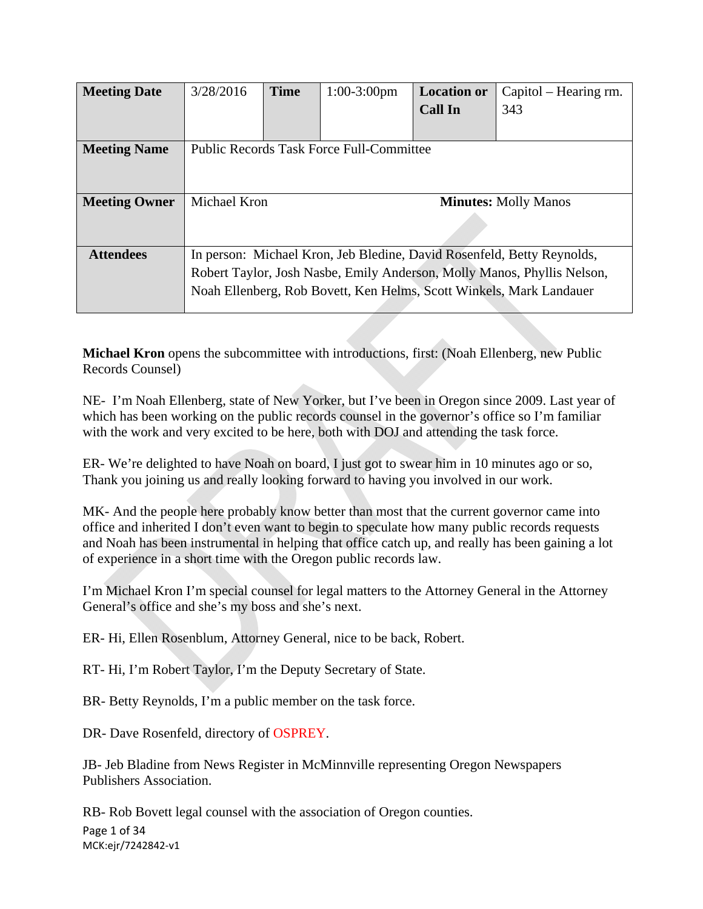| <b>Meeting Date</b>  | 3/28/2016                                                               | <b>Time</b>                 | $1:00-3:00$ pm | <b>Location or</b> | Capitol – Hearing rm. |
|----------------------|-------------------------------------------------------------------------|-----------------------------|----------------|--------------------|-----------------------|
|                      |                                                                         |                             |                | <b>Call In</b>     | 343                   |
|                      |                                                                         |                             |                |                    |                       |
| <b>Meeting Name</b>  | <b>Public Records Task Force Full-Committee</b>                         |                             |                |                    |                       |
|                      |                                                                         |                             |                |                    |                       |
|                      |                                                                         |                             |                |                    |                       |
| <b>Meeting Owner</b> | Michael Kron                                                            | <b>Minutes: Molly Manos</b> |                |                    |                       |
|                      |                                                                         |                             |                |                    |                       |
|                      |                                                                         |                             |                |                    |                       |
| <b>Attendees</b>     | In person: Michael Kron, Jeb Bledine, David Rosenfeld, Betty Reynolds,  |                             |                |                    |                       |
|                      | Robert Taylor, Josh Nasbe, Emily Anderson, Molly Manos, Phyllis Nelson, |                             |                |                    |                       |
|                      | Noah Ellenberg, Rob Bovett, Ken Helms, Scott Winkels, Mark Landauer     |                             |                |                    |                       |
|                      |                                                                         |                             |                |                    |                       |

**Michael Kron** opens the subcommittee with introductions, first: (Noah Ellenberg, new Public Records Counsel)

NE- I'm Noah Ellenberg, state of New Yorker, but I've been in Oregon since 2009. Last year of which has been working on the public records counsel in the governor's office so I'm familiar with the work and very excited to be here, both with DOJ and attending the task force.

ER- We're delighted to have Noah on board, I just got to swear him in 10 minutes ago or so, Thank you joining us and really looking forward to having you involved in our work.

MK- And the people here probably know better than most that the current governor came into office and inherited I don't even want to begin to speculate how many public records requests and Noah has been instrumental in helping that office catch up, and really has been gaining a lot of experience in a short time with the Oregon public records law.

I'm Michael Kron I'm special counsel for legal matters to the Attorney General in the Attorney General's office and she's my boss and she's next.

ER- Hi, Ellen Rosenblum, Attorney General, nice to be back, Robert.

RT- Hi, I'm Robert Taylor, I'm the Deputy Secretary of State.

BR- Betty Reynolds, I'm a public member on the task force.

DR- Dave Rosenfeld, directory of OSPREY.

JB- Jeb Bladine from News Register in McMinnville representing Oregon Newspapers Publishers Association.

Page 1 of 34 MCK:ejr/7242842‐v1 RB- Rob Bovett legal counsel with the association of Oregon counties.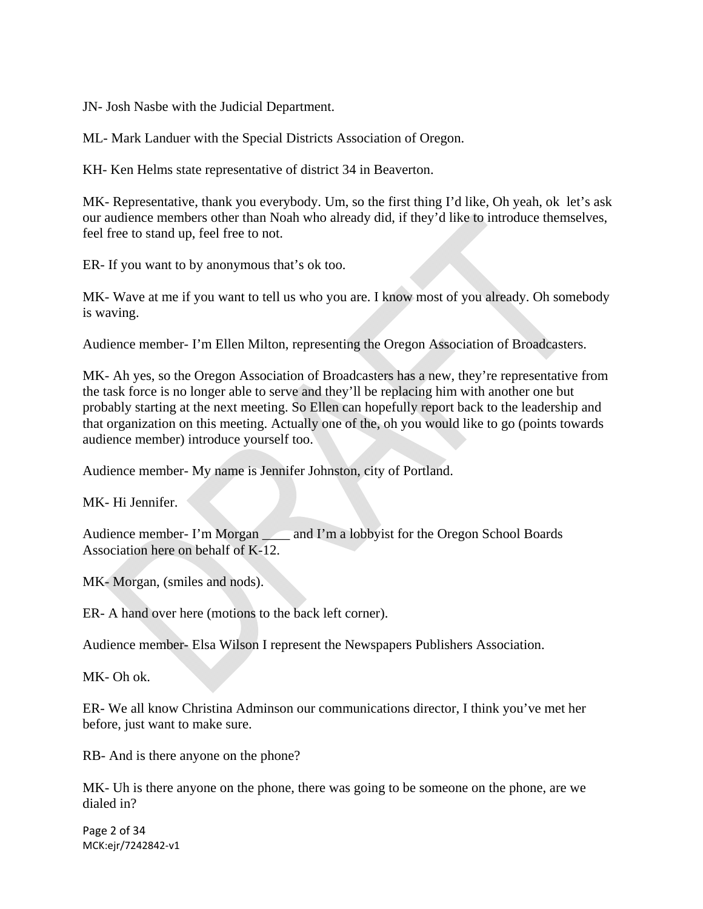JN- Josh Nasbe with the Judicial Department.

ML- Mark Landuer with the Special Districts Association of Oregon.

KH- Ken Helms state representative of district 34 in Beaverton.

MK- Representative, thank you everybody. Um, so the first thing I'd like, Oh yeah, ok let's ask our audience members other than Noah who already did, if they'd like to introduce themselves, feel free to stand up, feel free to not.

ER- If you want to by anonymous that's ok too.

MK- Wave at me if you want to tell us who you are. I know most of you already. Oh somebody is waving.

Audience member- I'm Ellen Milton, representing the Oregon Association of Broadcasters.

MK- Ah yes, so the Oregon Association of Broadcasters has a new, they're representative from the task force is no longer able to serve and they'll be replacing him with another one but probably starting at the next meeting. So Ellen can hopefully report back to the leadership and that organization on this meeting. Actually one of the, oh you would like to go (points towards audience member) introduce yourself too.

Audience member- My name is Jennifer Johnston, city of Portland.

MK- Hi Jennifer.

Audience member- I'm Morgan \_\_\_\_\_ and I'm a lobbyist for the Oregon School Boards Association here on behalf of K-12.

MK- Morgan, (smiles and nods).

ER- A hand over here (motions to the back left corner).

Audience member- Elsa Wilson I represent the Newspapers Publishers Association.

MK- Oh ok.

ER- We all know Christina Adminson our communications director, I think you've met her before, just want to make sure.

RB- And is there anyone on the phone?

MK- Uh is there anyone on the phone, there was going to be someone on the phone, are we dialed in?

Page 2 of 34 MCK:ejr/7242842‐v1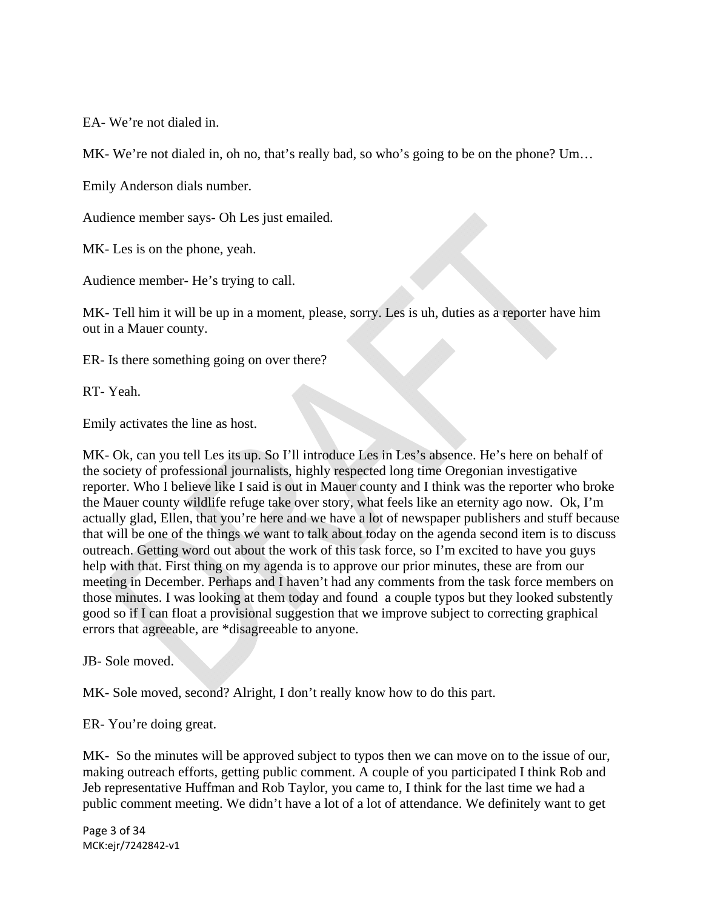EA- We're not dialed in.

MK- We're not dialed in, oh no, that's really bad, so who's going to be on the phone? Um...

Emily Anderson dials number.

Audience member says- Oh Les just emailed.

MK- Les is on the phone, yeah.

Audience member- He's trying to call.

MK- Tell him it will be up in a moment, please, sorry. Les is uh, duties as a reporter have him out in a Mauer county.

ER- Is there something going on over there?

RT- Yeah.

Emily activates the line as host.

MK- Ok, can you tell Les its up. So I'll introduce Les in Les's absence. He's here on behalf of the society of professional journalists, highly respected long time Oregonian investigative reporter. Who I believe like I said is out in Mauer county and I think was the reporter who broke the Mauer county wildlife refuge take over story, what feels like an eternity ago now. Ok, I'm actually glad, Ellen, that you're here and we have a lot of newspaper publishers and stuff because that will be one of the things we want to talk about today on the agenda second item is to discuss outreach. Getting word out about the work of this task force, so I'm excited to have you guys help with that. First thing on my agenda is to approve our prior minutes, these are from our meeting in December. Perhaps and I haven't had any comments from the task force members on those minutes. I was looking at them today and found a couple typos but they looked substently good so if I can float a provisional suggestion that we improve subject to correcting graphical errors that agreeable, are \*disagreeable to anyone.

JB- Sole moved.

MK- Sole moved, second? Alright, I don't really know how to do this part.

ER- You're doing great.

MK- So the minutes will be approved subject to typos then we can move on to the issue of our, making outreach efforts, getting public comment. A couple of you participated I think Rob and Jeb representative Huffman and Rob Taylor, you came to, I think for the last time we had a public comment meeting. We didn't have a lot of a lot of attendance. We definitely want to get

Page 3 of 34 MCK:ejr/7242842‐v1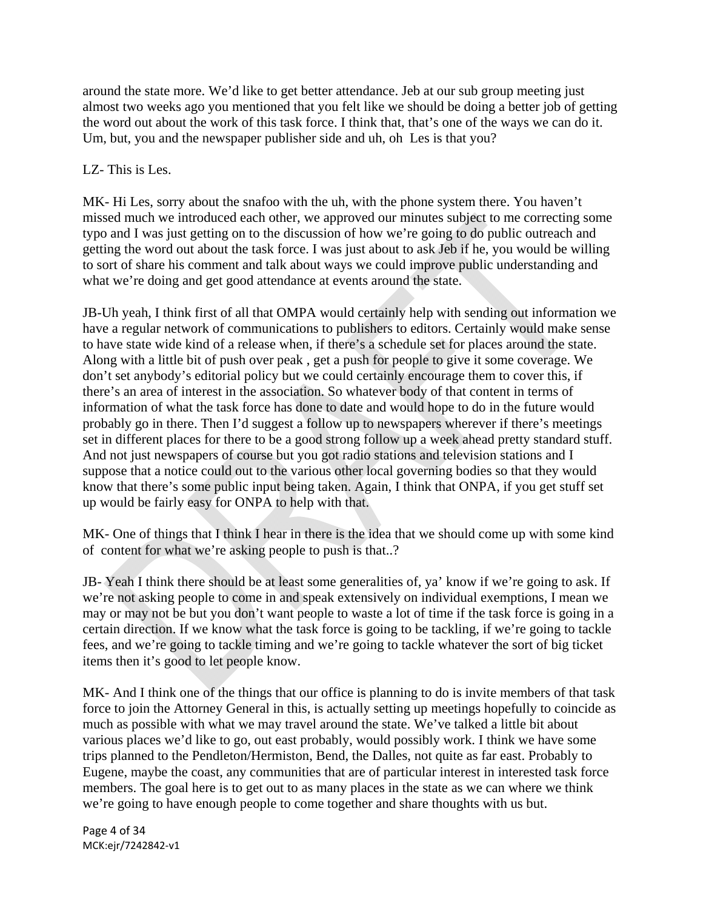around the state more. We'd like to get better attendance. Jeb at our sub group meeting just almost two weeks ago you mentioned that you felt like we should be doing a better job of getting the word out about the work of this task force. I think that, that's one of the ways we can do it. Um, but, you and the newspaper publisher side and uh, oh Les is that you?

# LZ- This is Les.

MK- Hi Les, sorry about the snafoo with the uh, with the phone system there. You haven't missed much we introduced each other, we approved our minutes subject to me correcting some typo and I was just getting on to the discussion of how we're going to do public outreach and getting the word out about the task force. I was just about to ask Jeb if he, you would be willing to sort of share his comment and talk about ways we could improve public understanding and what we're doing and get good attendance at events around the state.

JB-Uh yeah, I think first of all that OMPA would certainly help with sending out information we have a regular network of communications to publishers to editors. Certainly would make sense to have state wide kind of a release when, if there's a schedule set for places around the state. Along with a little bit of push over peak , get a push for people to give it some coverage. We don't set anybody's editorial policy but we could certainly encourage them to cover this, if there's an area of interest in the association. So whatever body of that content in terms of information of what the task force has done to date and would hope to do in the future would probably go in there. Then I'd suggest a follow up to newspapers wherever if there's meetings set in different places for there to be a good strong follow up a week ahead pretty standard stuff. And not just newspapers of course but you got radio stations and television stations and I suppose that a notice could out to the various other local governing bodies so that they would know that there's some public input being taken. Again, I think that ONPA, if you get stuff set up would be fairly easy for ONPA to help with that.

MK- One of things that I think I hear in there is the idea that we should come up with some kind of content for what we're asking people to push is that..?

JB- Yeah I think there should be at least some generalities of, ya' know if we're going to ask. If we're not asking people to come in and speak extensively on individual exemptions, I mean we may or may not be but you don't want people to waste a lot of time if the task force is going in a certain direction. If we know what the task force is going to be tackling, if we're going to tackle fees, and we're going to tackle timing and we're going to tackle whatever the sort of big ticket items then it's good to let people know.

MK- And I think one of the things that our office is planning to do is invite members of that task force to join the Attorney General in this, is actually setting up meetings hopefully to coincide as much as possible with what we may travel around the state. We've talked a little bit about various places we'd like to go, out east probably, would possibly work. I think we have some trips planned to the Pendleton/Hermiston, Bend, the Dalles, not quite as far east. Probably to Eugene, maybe the coast, any communities that are of particular interest in interested task force members. The goal here is to get out to as many places in the state as we can where we think we're going to have enough people to come together and share thoughts with us but.

Page 4 of 34 MCK:ejr/7242842‐v1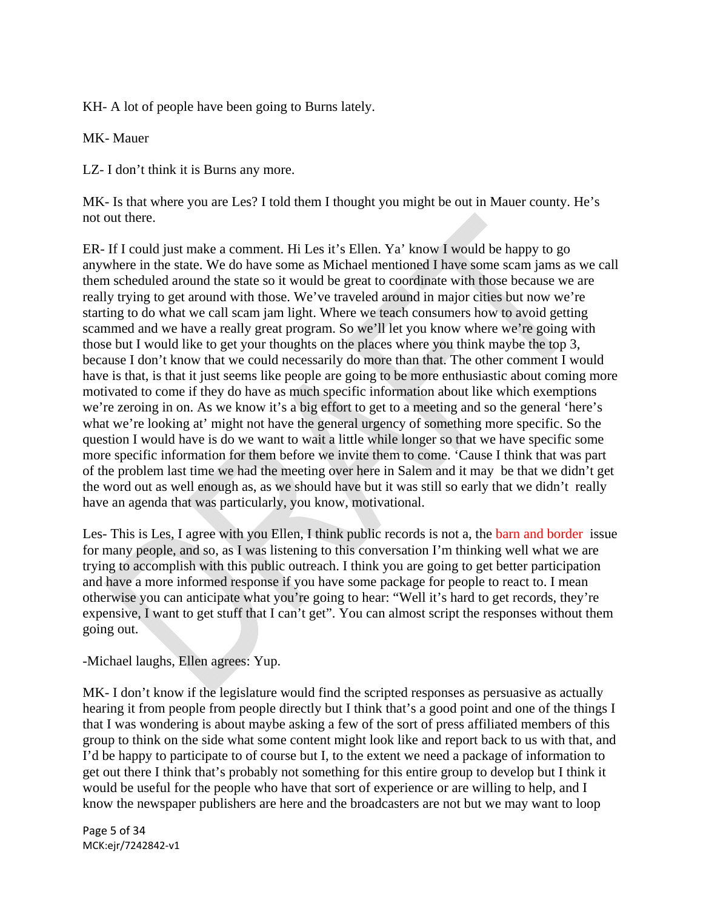KH- A lot of people have been going to Burns lately.

MK- Mauer

LZ- I don't think it is Burns any more.

MK- Is that where you are Les? I told them I thought you might be out in Mauer county. He's not out there.

ER- If I could just make a comment. Hi Les it's Ellen. Ya' know I would be happy to go anywhere in the state. We do have some as Michael mentioned I have some scam jams as we call them scheduled around the state so it would be great to coordinate with those because we are really trying to get around with those. We've traveled around in major cities but now we're starting to do what we call scam jam light. Where we teach consumers how to avoid getting scammed and we have a really great program. So we'll let you know where we're going with those but I would like to get your thoughts on the places where you think maybe the top 3, because I don't know that we could necessarily do more than that. The other comment I would have is that, is that it just seems like people are going to be more enthusiastic about coming more motivated to come if they do have as much specific information about like which exemptions we're zeroing in on. As we know it's a big effort to get to a meeting and so the general 'here's what we're looking at' might not have the general urgency of something more specific. So the question I would have is do we want to wait a little while longer so that we have specific some more specific information for them before we invite them to come. 'Cause I think that was part of the problem last time we had the meeting over here in Salem and it may be that we didn't get the word out as well enough as, as we should have but it was still so early that we didn't really have an agenda that was particularly, you know, motivational.

Les- This is Les, I agree with you Ellen, I think public records is not a, the barn and border issue for many people, and so, as I was listening to this conversation I'm thinking well what we are trying to accomplish with this public outreach. I think you are going to get better participation and have a more informed response if you have some package for people to react to. I mean otherwise you can anticipate what you're going to hear: "Well it's hard to get records, they're expensive, I want to get stuff that I can't get". You can almost script the responses without them going out.

-Michael laughs, Ellen agrees: Yup.

MK- I don't know if the legislature would find the scripted responses as persuasive as actually hearing it from people from people directly but I think that's a good point and one of the things I that I was wondering is about maybe asking a few of the sort of press affiliated members of this group to think on the side what some content might look like and report back to us with that, and I'd be happy to participate to of course but I, to the extent we need a package of information to get out there I think that's probably not something for this entire group to develop but I think it would be useful for the people who have that sort of experience or are willing to help, and I know the newspaper publishers are here and the broadcasters are not but we may want to loop

Page 5 of 34 MCK:ejr/7242842‐v1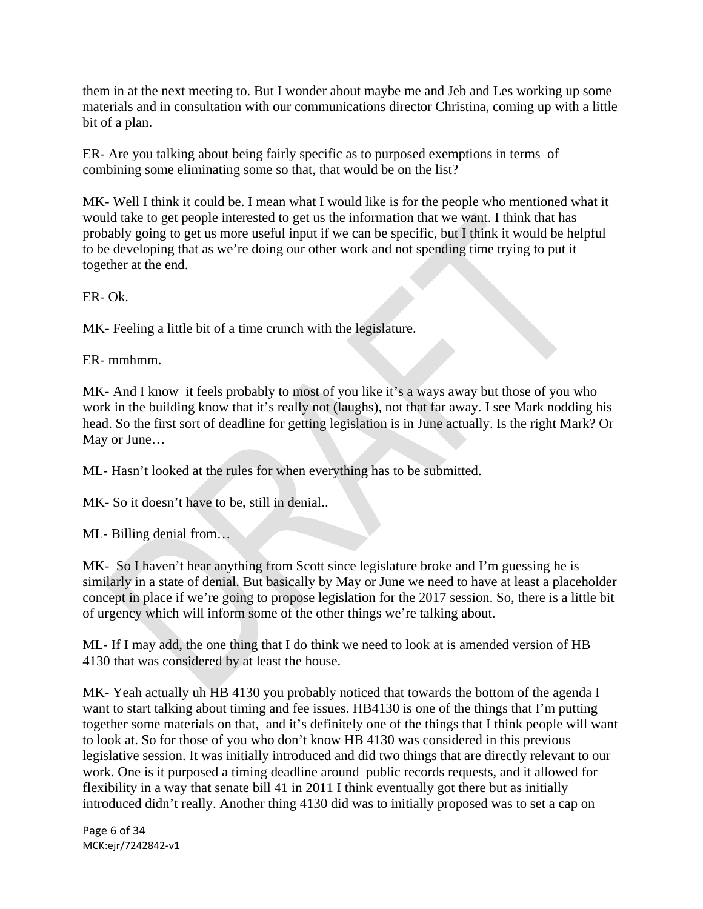them in at the next meeting to. But I wonder about maybe me and Jeb and Les working up some materials and in consultation with our communications director Christina, coming up with a little bit of a plan.

ER- Are you talking about being fairly specific as to purposed exemptions in terms of combining some eliminating some so that, that would be on the list?

MK- Well I think it could be. I mean what I would like is for the people who mentioned what it would take to get people interested to get us the information that we want. I think that has probably going to get us more useful input if we can be specific, but I think it would be helpful to be developing that as we're doing our other work and not spending time trying to put it together at the end.

ER- Ok.

MK- Feeling a little bit of a time crunch with the legislature.

ER- mmhmm.

MK- And I know it feels probably to most of you like it's a ways away but those of you who work in the building know that it's really not (laughs), not that far away. I see Mark nodding his head. So the first sort of deadline for getting legislation is in June actually. Is the right Mark? Or May or June…

ML- Hasn't looked at the rules for when everything has to be submitted.

MK- So it doesn't have to be, still in denial..

ML- Billing denial from…

MK- So I haven't hear anything from Scott since legislature broke and I'm guessing he is similarly in a state of denial. But basically by May or June we need to have at least a placeholder concept in place if we're going to propose legislation for the 2017 session. So, there is a little bit of urgency which will inform some of the other things we're talking about.

ML- If I may add, the one thing that I do think we need to look at is amended version of HB 4130 that was considered by at least the house.

MK- Yeah actually uh HB 4130 you probably noticed that towards the bottom of the agenda I want to start talking about timing and fee issues. HB4130 is one of the things that I'm putting together some materials on that, and it's definitely one of the things that I think people will want to look at. So for those of you who don't know HB 4130 was considered in this previous legislative session. It was initially introduced and did two things that are directly relevant to our work. One is it purposed a timing deadline around public records requests, and it allowed for flexibility in a way that senate bill 41 in 2011 I think eventually got there but as initially introduced didn't really. Another thing 4130 did was to initially proposed was to set a cap on

Page 6 of 34 MCK:ejr/7242842‐v1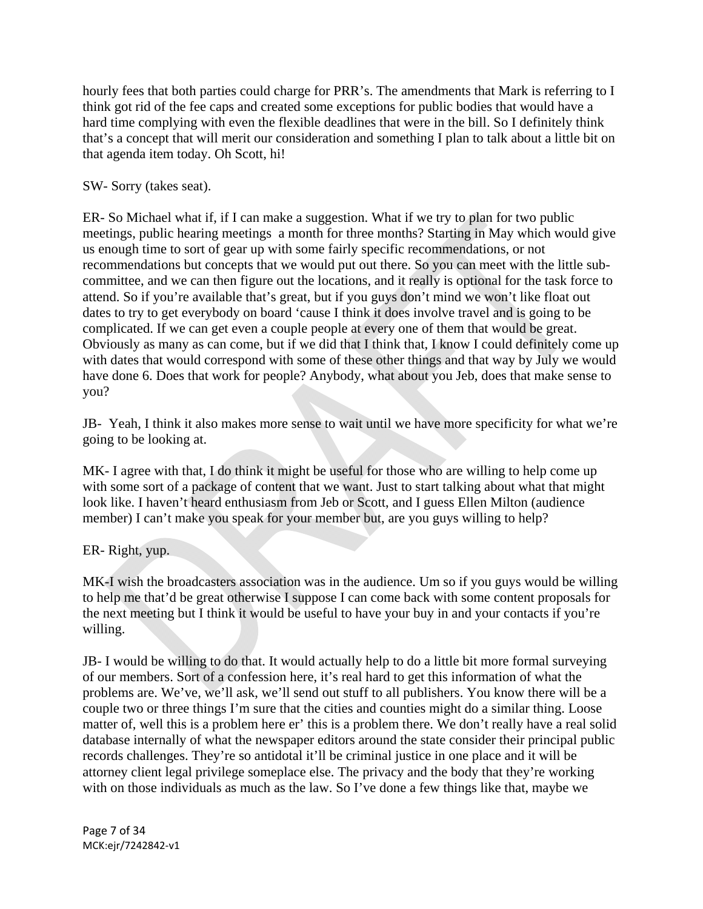hourly fees that both parties could charge for PRR's. The amendments that Mark is referring to I think got rid of the fee caps and created some exceptions for public bodies that would have a hard time complying with even the flexible deadlines that were in the bill. So I definitely think that's a concept that will merit our consideration and something I plan to talk about a little bit on that agenda item today. Oh Scott, hi!

### SW- Sorry (takes seat).

ER- So Michael what if, if I can make a suggestion. What if we try to plan for two public meetings, public hearing meetings a month for three months? Starting in May which would give us enough time to sort of gear up with some fairly specific recommendations, or not recommendations but concepts that we would put out there. So you can meet with the little subcommittee, and we can then figure out the locations, and it really is optional for the task force to attend. So if you're available that's great, but if you guys don't mind we won't like float out dates to try to get everybody on board 'cause I think it does involve travel and is going to be complicated. If we can get even a couple people at every one of them that would be great. Obviously as many as can come, but if we did that I think that, I know I could definitely come up with dates that would correspond with some of these other things and that way by July we would have done 6. Does that work for people? Anybody, what about you Jeb, does that make sense to you?

JB- Yeah, I think it also makes more sense to wait until we have more specificity for what we're going to be looking at.

MK- I agree with that, I do think it might be useful for those who are willing to help come up with some sort of a package of content that we want. Just to start talking about what that might look like. I haven't heard enthusiasm from Jeb or Scott, and I guess Ellen Milton (audience member) I can't make you speak for your member but, are you guys willing to help?

# ER- Right, yup.

MK-I wish the broadcasters association was in the audience. Um so if you guys would be willing to help me that'd be great otherwise I suppose I can come back with some content proposals for the next meeting but I think it would be useful to have your buy in and your contacts if you're willing.

JB- I would be willing to do that. It would actually help to do a little bit more formal surveying of our members. Sort of a confession here, it's real hard to get this information of what the problems are. We've, we'll ask, we'll send out stuff to all publishers. You know there will be a couple two or three things I'm sure that the cities and counties might do a similar thing. Loose matter of, well this is a problem here er' this is a problem there. We don't really have a real solid database internally of what the newspaper editors around the state consider their principal public records challenges. They're so antidotal it'll be criminal justice in one place and it will be attorney client legal privilege someplace else. The privacy and the body that they're working with on those individuals as much as the law. So I've done a few things like that, maybe we

Page 7 of 34 MCK:ejr/7242842‐v1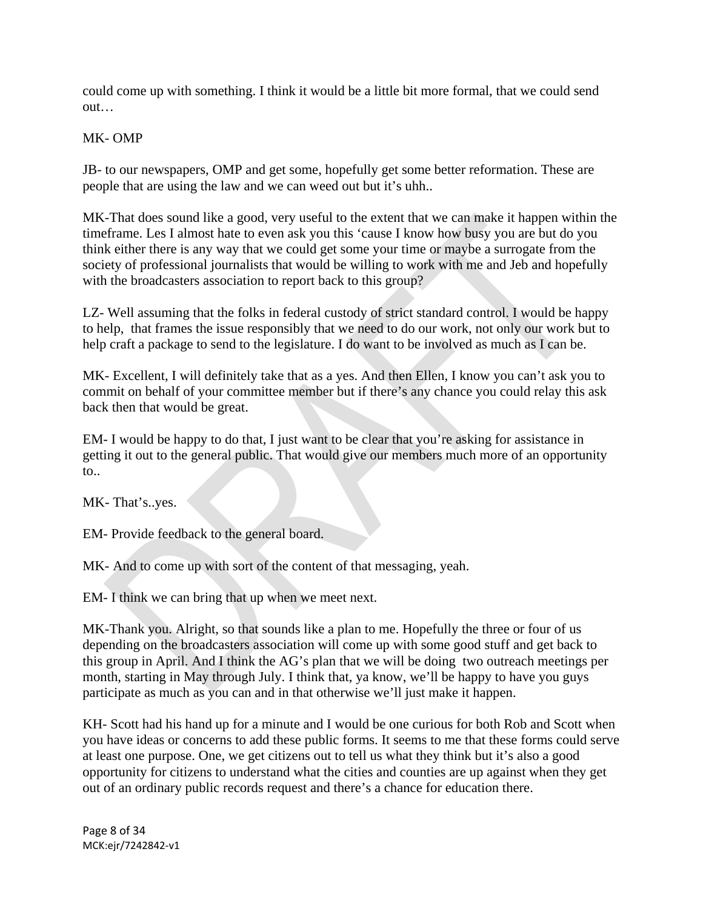could come up with something. I think it would be a little bit more formal, that we could send out…

# MK- OMP

JB- to our newspapers, OMP and get some, hopefully get some better reformation. These are people that are using the law and we can weed out but it's uhh..

MK-That does sound like a good, very useful to the extent that we can make it happen within the timeframe. Les I almost hate to even ask you this 'cause I know how busy you are but do you think either there is any way that we could get some your time or maybe a surrogate from the society of professional journalists that would be willing to work with me and Jeb and hopefully with the broadcasters association to report back to this group?

LZ- Well assuming that the folks in federal custody of strict standard control. I would be happy to help, that frames the issue responsibly that we need to do our work, not only our work but to help craft a package to send to the legislature. I do want to be involved as much as I can be.

MK- Excellent, I will definitely take that as a yes. And then Ellen, I know you can't ask you to commit on behalf of your committee member but if there's any chance you could relay this ask back then that would be great.

EM- I would be happy to do that, I just want to be clear that you're asking for assistance in getting it out to the general public. That would give our members much more of an opportunity to..

MK- That's..yes.

EM- Provide feedback to the general board.

MK- And to come up with sort of the content of that messaging, yeah.

EM- I think we can bring that up when we meet next.

MK-Thank you. Alright, so that sounds like a plan to me. Hopefully the three or four of us depending on the broadcasters association will come up with some good stuff and get back to this group in April. And I think the AG's plan that we will be doing two outreach meetings per month, starting in May through July. I think that, ya know, we'll be happy to have you guys participate as much as you can and in that otherwise we'll just make it happen.

KH- Scott had his hand up for a minute and I would be one curious for both Rob and Scott when you have ideas or concerns to add these public forms. It seems to me that these forms could serve at least one purpose. One, we get citizens out to tell us what they think but it's also a good opportunity for citizens to understand what the cities and counties are up against when they get out of an ordinary public records request and there's a chance for education there.

Page 8 of 34 MCK:ejr/7242842‐v1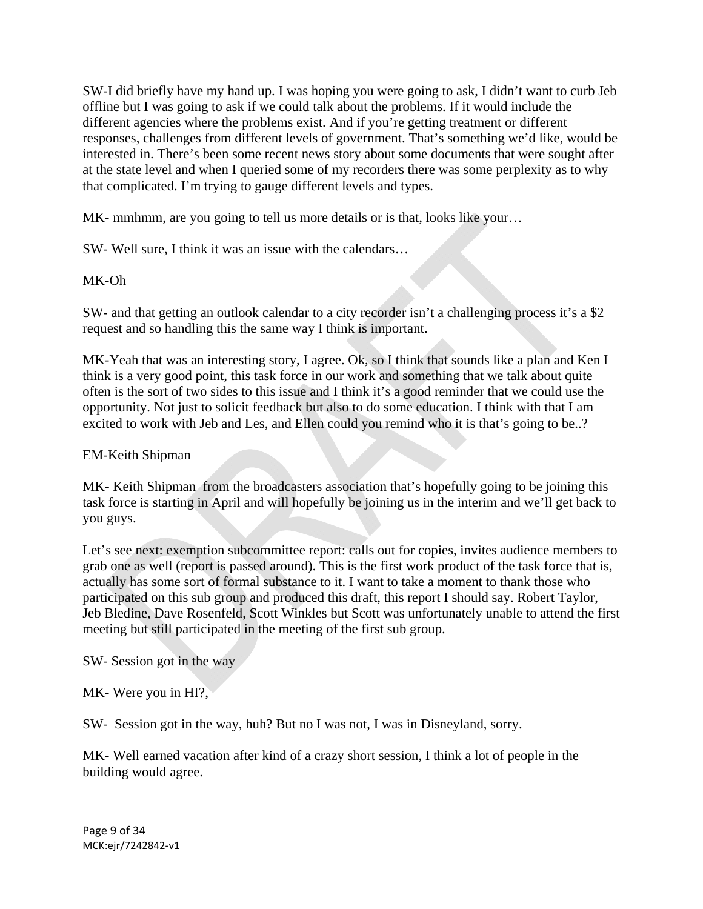SW-I did briefly have my hand up. I was hoping you were going to ask, I didn't want to curb Jeb offline but I was going to ask if we could talk about the problems. If it would include the different agencies where the problems exist. And if you're getting treatment or different responses, challenges from different levels of government. That's something we'd like, would be interested in. There's been some recent news story about some documents that were sought after at the state level and when I queried some of my recorders there was some perplexity as to why that complicated. I'm trying to gauge different levels and types.

MK- mmhmm, are you going to tell us more details or is that, looks like your…

SW- Well sure, I think it was an issue with the calendars…

### MK-Oh

SW- and that getting an outlook calendar to a city recorder isn't a challenging process it's a \$2 request and so handling this the same way I think is important.

MK-Yeah that was an interesting story, I agree. Ok, so I think that sounds like a plan and Ken I think is a very good point, this task force in our work and something that we talk about quite often is the sort of two sides to this issue and I think it's a good reminder that we could use the opportunity. Not just to solicit feedback but also to do some education. I think with that I am excited to work with Jeb and Les, and Ellen could you remind who it is that's going to be..?

### EM-Keith Shipman

MK- Keith Shipman from the broadcasters association that's hopefully going to be joining this task force is starting in April and will hopefully be joining us in the interim and we'll get back to you guys.

Let's see next: exemption subcommittee report: calls out for copies, invites audience members to grab one as well (report is passed around). This is the first work product of the task force that is, actually has some sort of formal substance to it. I want to take a moment to thank those who participated on this sub group and produced this draft, this report I should say. Robert Taylor, Jeb Bledine, Dave Rosenfeld, Scott Winkles but Scott was unfortunately unable to attend the first meeting but still participated in the meeting of the first sub group.

SW- Session got in the way

MK- Were you in HI?,

SW- Session got in the way, huh? But no I was not, I was in Disneyland, sorry.

MK- Well earned vacation after kind of a crazy short session, I think a lot of people in the building would agree.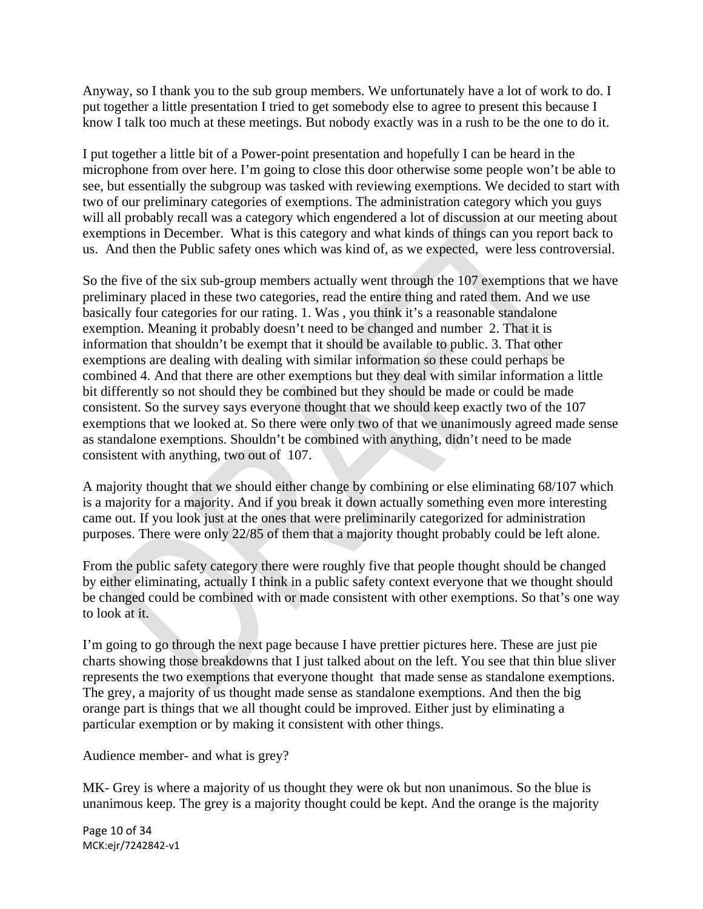Anyway, so I thank you to the sub group members. We unfortunately have a lot of work to do. I put together a little presentation I tried to get somebody else to agree to present this because I know I talk too much at these meetings. But nobody exactly was in a rush to be the one to do it.

I put together a little bit of a Power-point presentation and hopefully I can be heard in the microphone from over here. I'm going to close this door otherwise some people won't be able to see, but essentially the subgroup was tasked with reviewing exemptions. We decided to start with two of our preliminary categories of exemptions. The administration category which you guys will all probably recall was a category which engendered a lot of discussion at our meeting about exemptions in December. What is this category and what kinds of things can you report back to us. And then the Public safety ones which was kind of, as we expected, were less controversial.

So the five of the six sub-group members actually went through the 107 exemptions that we have preliminary placed in these two categories, read the entire thing and rated them. And we use basically four categories for our rating. 1. Was , you think it's a reasonable standalone exemption. Meaning it probably doesn't need to be changed and number 2. That it is information that shouldn't be exempt that it should be available to public. 3. That other exemptions are dealing with dealing with similar information so these could perhaps be combined 4. And that there are other exemptions but they deal with similar information a little bit differently so not should they be combined but they should be made or could be made consistent. So the survey says everyone thought that we should keep exactly two of the 107 exemptions that we looked at. So there were only two of that we unanimously agreed made sense as standalone exemptions. Shouldn't be combined with anything, didn't need to be made consistent with anything, two out of 107.

A majority thought that we should either change by combining or else eliminating 68/107 which is a majority for a majority. And if you break it down actually something even more interesting came out. If you look just at the ones that were preliminarily categorized for administration purposes. There were only 22/85 of them that a majority thought probably could be left alone.

From the public safety category there were roughly five that people thought should be changed by either eliminating, actually I think in a public safety context everyone that we thought should be changed could be combined with or made consistent with other exemptions. So that's one way to look at it.

I'm going to go through the next page because I have prettier pictures here. These are just pie charts showing those breakdowns that I just talked about on the left. You see that thin blue sliver represents the two exemptions that everyone thought that made sense as standalone exemptions. The grey, a majority of us thought made sense as standalone exemptions. And then the big orange part is things that we all thought could be improved. Either just by eliminating a particular exemption or by making it consistent with other things.

Audience member- and what is grey?

MK- Grey is where a majority of us thought they were ok but non unanimous. So the blue is unanimous keep. The grey is a majority thought could be kept. And the orange is the majority

Page 10 of 34 MCK:ejr/7242842‐v1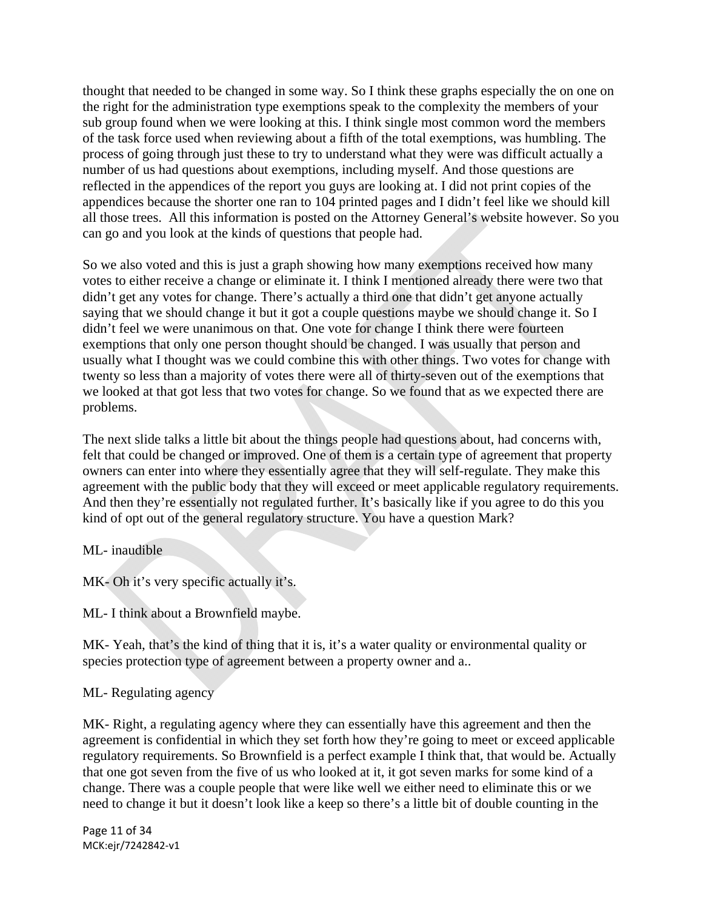thought that needed to be changed in some way. So I think these graphs especially the on one on the right for the administration type exemptions speak to the complexity the members of your sub group found when we were looking at this. I think single most common word the members of the task force used when reviewing about a fifth of the total exemptions, was humbling. The process of going through just these to try to understand what they were was difficult actually a number of us had questions about exemptions, including myself. And those questions are reflected in the appendices of the report you guys are looking at. I did not print copies of the appendices because the shorter one ran to 104 printed pages and I didn't feel like we should kill all those trees. All this information is posted on the Attorney General's website however. So you can go and you look at the kinds of questions that people had.

So we also voted and this is just a graph showing how many exemptions received how many votes to either receive a change or eliminate it. I think I mentioned already there were two that didn't get any votes for change. There's actually a third one that didn't get anyone actually saying that we should change it but it got a couple questions maybe we should change it. So I didn't feel we were unanimous on that. One vote for change I think there were fourteen exemptions that only one person thought should be changed. I was usually that person and usually what I thought was we could combine this with other things. Two votes for change with twenty so less than a majority of votes there were all of thirty-seven out of the exemptions that we looked at that got less that two votes for change. So we found that as we expected there are problems.

The next slide talks a little bit about the things people had questions about, had concerns with, felt that could be changed or improved. One of them is a certain type of agreement that property owners can enter into where they essentially agree that they will self-regulate. They make this agreement with the public body that they will exceed or meet applicable regulatory requirements. And then they're essentially not regulated further. It's basically like if you agree to do this you kind of opt out of the general regulatory structure. You have a question Mark?

ML- inaudible

MK- Oh it's very specific actually it's.

ML- I think about a Brownfield maybe.

MK- Yeah, that's the kind of thing that it is, it's a water quality or environmental quality or species protection type of agreement between a property owner and a..

# ML- Regulating agency

MK- Right, a regulating agency where they can essentially have this agreement and then the agreement is confidential in which they set forth how they're going to meet or exceed applicable regulatory requirements. So Brownfield is a perfect example I think that, that would be. Actually that one got seven from the five of us who looked at it, it got seven marks for some kind of a change. There was a couple people that were like well we either need to eliminate this or we need to change it but it doesn't look like a keep so there's a little bit of double counting in the

Page 11 of 34 MCK:ejr/7242842‐v1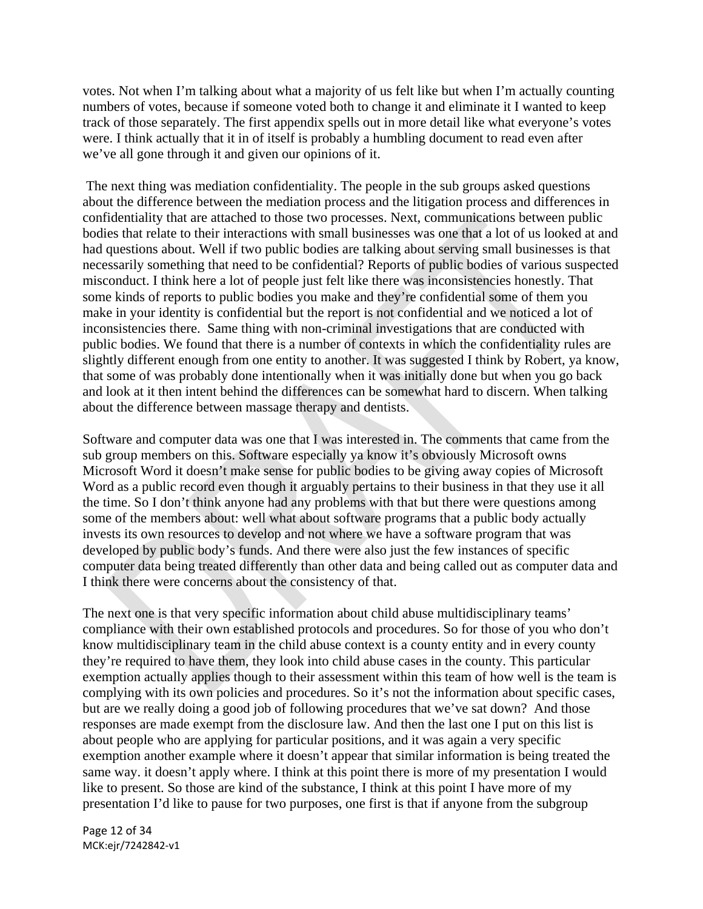votes. Not when I'm talking about what a majority of us felt like but when I'm actually counting numbers of votes, because if someone voted both to change it and eliminate it I wanted to keep track of those separately. The first appendix spells out in more detail like what everyone's votes were. I think actually that it in of itself is probably a humbling document to read even after we've all gone through it and given our opinions of it.

 The next thing was mediation confidentiality. The people in the sub groups asked questions about the difference between the mediation process and the litigation process and differences in confidentiality that are attached to those two processes. Next, communications between public bodies that relate to their interactions with small businesses was one that a lot of us looked at and had questions about. Well if two public bodies are talking about serving small businesses is that necessarily something that need to be confidential? Reports of public bodies of various suspected misconduct. I think here a lot of people just felt like there was inconsistencies honestly. That some kinds of reports to public bodies you make and they're confidential some of them you make in your identity is confidential but the report is not confidential and we noticed a lot of inconsistencies there. Same thing with non-criminal investigations that are conducted with public bodies. We found that there is a number of contexts in which the confidentiality rules are slightly different enough from one entity to another. It was suggested I think by Robert, ya know, that some of was probably done intentionally when it was initially done but when you go back and look at it then intent behind the differences can be somewhat hard to discern. When talking about the difference between massage therapy and dentists.

Software and computer data was one that I was interested in. The comments that came from the sub group members on this. Software especially ya know it's obviously Microsoft owns Microsoft Word it doesn't make sense for public bodies to be giving away copies of Microsoft Word as a public record even though it arguably pertains to their business in that they use it all the time. So I don't think anyone had any problems with that but there were questions among some of the members about: well what about software programs that a public body actually invests its own resources to develop and not where we have a software program that was developed by public body's funds. And there were also just the few instances of specific computer data being treated differently than other data and being called out as computer data and I think there were concerns about the consistency of that.

The next one is that very specific information about child abuse multidisciplinary teams' compliance with their own established protocols and procedures. So for those of you who don't know multidisciplinary team in the child abuse context is a county entity and in every county they're required to have them, they look into child abuse cases in the county. This particular exemption actually applies though to their assessment within this team of how well is the team is complying with its own policies and procedures. So it's not the information about specific cases, but are we really doing a good job of following procedures that we've sat down? And those responses are made exempt from the disclosure law. And then the last one I put on this list is about people who are applying for particular positions, and it was again a very specific exemption another example where it doesn't appear that similar information is being treated the same way. it doesn't apply where. I think at this point there is more of my presentation I would like to present. So those are kind of the substance, I think at this point I have more of my presentation I'd like to pause for two purposes, one first is that if anyone from the subgroup

Page 12 of 34 MCK:ejr/7242842‐v1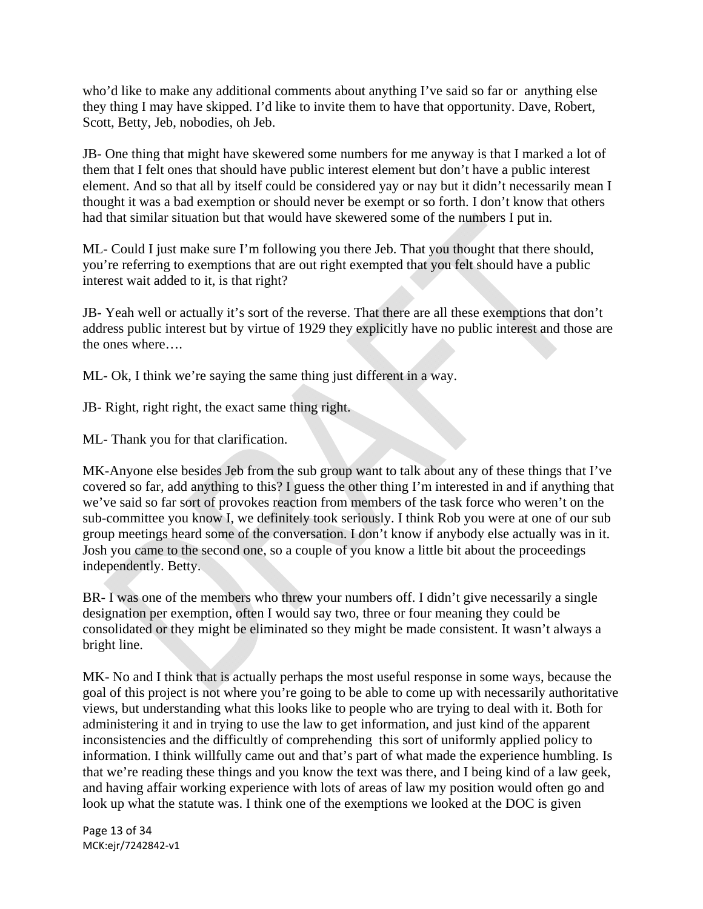who'd like to make any additional comments about anything I've said so far or anything else they thing I may have skipped. I'd like to invite them to have that opportunity. Dave, Robert, Scott, Betty, Jeb, nobodies, oh Jeb.

JB- One thing that might have skewered some numbers for me anyway is that I marked a lot of them that I felt ones that should have public interest element but don't have a public interest element. And so that all by itself could be considered yay or nay but it didn't necessarily mean I thought it was a bad exemption or should never be exempt or so forth. I don't know that others had that similar situation but that would have skewered some of the numbers I put in.

ML- Could I just make sure I'm following you there Jeb. That you thought that there should, you're referring to exemptions that are out right exempted that you felt should have a public interest wait added to it, is that right?

JB- Yeah well or actually it's sort of the reverse. That there are all these exemptions that don't address public interest but by virtue of 1929 they explicitly have no public interest and those are the ones where….

ML- Ok, I think we're saying the same thing just different in a way.

JB- Right, right right, the exact same thing right.

ML- Thank you for that clarification.

MK-Anyone else besides Jeb from the sub group want to talk about any of these things that I've covered so far, add anything to this? I guess the other thing I'm interested in and if anything that we've said so far sort of provokes reaction from members of the task force who weren't on the sub-committee you know I, we definitely took seriously. I think Rob you were at one of our sub group meetings heard some of the conversation. I don't know if anybody else actually was in it. Josh you came to the second one, so a couple of you know a little bit about the proceedings independently. Betty.

BR- I was one of the members who threw your numbers off. I didn't give necessarily a single designation per exemption, often I would say two, three or four meaning they could be consolidated or they might be eliminated so they might be made consistent. It wasn't always a bright line.

MK- No and I think that is actually perhaps the most useful response in some ways, because the goal of this project is not where you're going to be able to come up with necessarily authoritative views, but understanding what this looks like to people who are trying to deal with it. Both for administering it and in trying to use the law to get information, and just kind of the apparent inconsistencies and the difficultly of comprehending this sort of uniformly applied policy to information. I think willfully came out and that's part of what made the experience humbling. Is that we're reading these things and you know the text was there, and I being kind of a law geek, and having affair working experience with lots of areas of law my position would often go and look up what the statute was. I think one of the exemptions we looked at the DOC is given

Page 13 of 34 MCK:ejr/7242842‐v1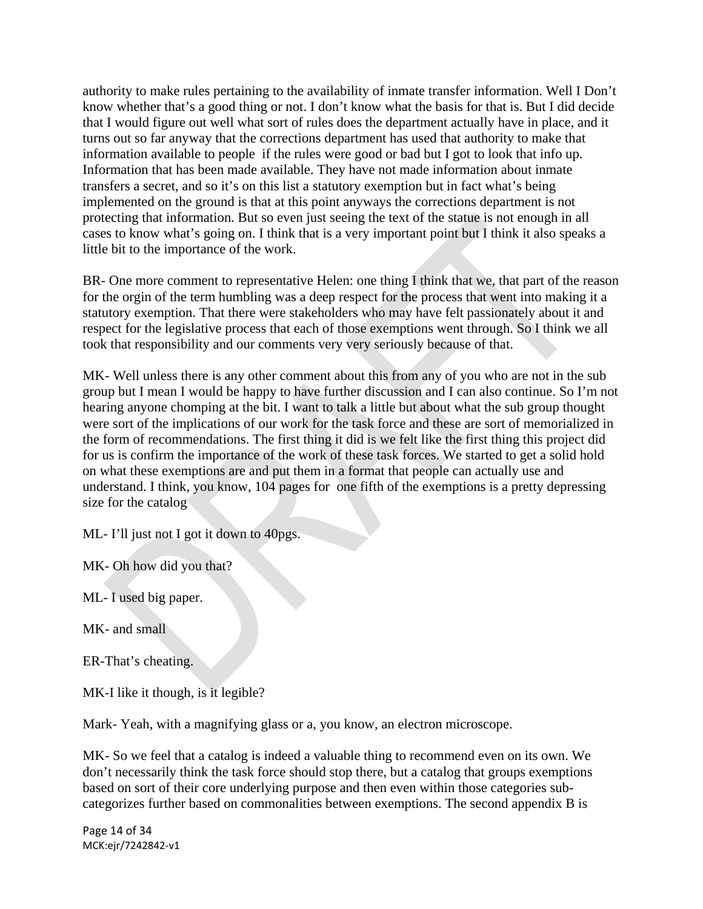authority to make rules pertaining to the availability of inmate transfer information. Well I Don't know whether that's a good thing or not. I don't know what the basis for that is. But I did decide that I would figure out well what sort of rules does the department actually have in place, and it turns out so far anyway that the corrections department has used that authority to make that information available to people if the rules were good or bad but I got to look that info up. Information that has been made available. They have not made information about inmate transfers a secret, and so it's on this list a statutory exemption but in fact what's being implemented on the ground is that at this point anyways the corrections department is not protecting that information. But so even just seeing the text of the statue is not enough in all cases to know what's going on. I think that is a very important point but I think it also speaks a little bit to the importance of the work.

BR- One more comment to representative Helen: one thing I think that we, that part of the reason for the orgin of the term humbling was a deep respect for the process that went into making it a statutory exemption. That there were stakeholders who may have felt passionately about it and respect for the legislative process that each of those exemptions went through. So I think we all took that responsibility and our comments very very seriously because of that.

MK- Well unless there is any other comment about this from any of you who are not in the sub group but I mean I would be happy to have further discussion and I can also continue. So I'm not hearing anyone chomping at the bit. I want to talk a little but about what the sub group thought were sort of the implications of our work for the task force and these are sort of memorialized in the form of recommendations. The first thing it did is we felt like the first thing this project did for us is confirm the importance of the work of these task forces. We started to get a solid hold on what these exemptions are and put them in a format that people can actually use and understand. I think, you know, 104 pages for one fifth of the exemptions is a pretty depressing size for the catalog

ML- I'll just not I got it down to 40pgs.

MK- Oh how did you that?

ML- I used big paper.

MK- and small

ER-That's cheating.

MK-I like it though, is it legible?

Mark- Yeah, with a magnifying glass or a, you know, an electron microscope.

MK- So we feel that a catalog is indeed a valuable thing to recommend even on its own. We don't necessarily think the task force should stop there, but a catalog that groups exemptions based on sort of their core underlying purpose and then even within those categories subcategorizes further based on commonalities between exemptions. The second appendix B is

Page 14 of 34 MCK:ejr/7242842‐v1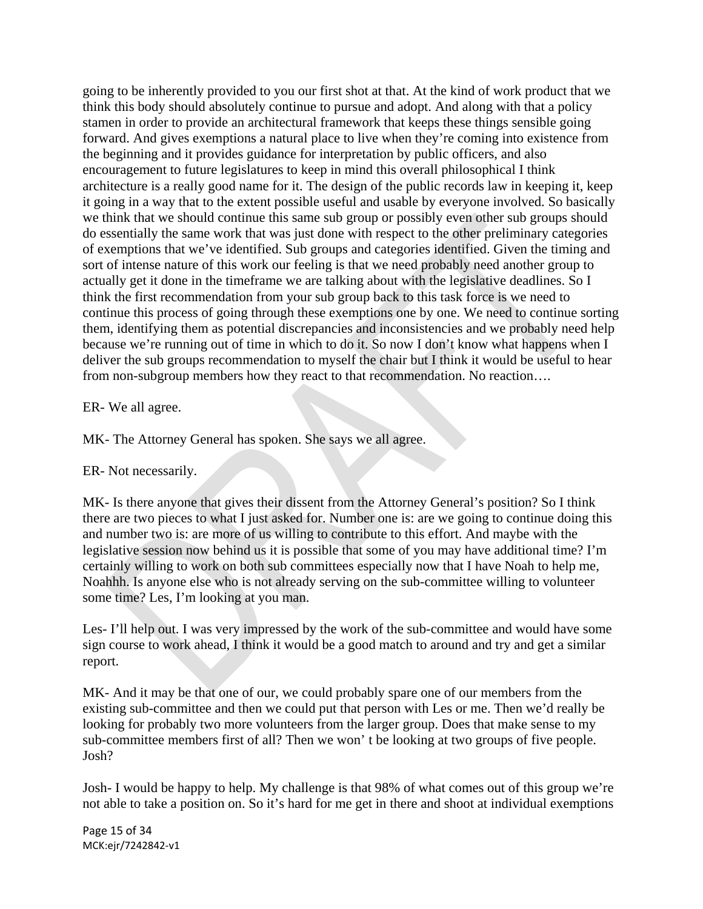going to be inherently provided to you our first shot at that. At the kind of work product that we think this body should absolutely continue to pursue and adopt. And along with that a policy stamen in order to provide an architectural framework that keeps these things sensible going forward. And gives exemptions a natural place to live when they're coming into existence from the beginning and it provides guidance for interpretation by public officers, and also encouragement to future legislatures to keep in mind this overall philosophical I think architecture is a really good name for it. The design of the public records law in keeping it, keep it going in a way that to the extent possible useful and usable by everyone involved. So basically we think that we should continue this same sub group or possibly even other sub groups should do essentially the same work that was just done with respect to the other preliminary categories of exemptions that we've identified. Sub groups and categories identified. Given the timing and sort of intense nature of this work our feeling is that we need probably need another group to actually get it done in the timeframe we are talking about with the legislative deadlines. So I think the first recommendation from your sub group back to this task force is we need to continue this process of going through these exemptions one by one. We need to continue sorting them, identifying them as potential discrepancies and inconsistencies and we probably need help because we're running out of time in which to do it. So now I don't know what happens when I deliver the sub groups recommendation to myself the chair but I think it would be useful to hear from non-subgroup members how they react to that recommendation. No reaction….

### ER- We all agree.

MK- The Attorney General has spoken. She says we all agree.

### ER- Not necessarily.

MK- Is there anyone that gives their dissent from the Attorney General's position? So I think there are two pieces to what I just asked for. Number one is: are we going to continue doing this and number two is: are more of us willing to contribute to this effort. And maybe with the legislative session now behind us it is possible that some of you may have additional time? I'm certainly willing to work on both sub committees especially now that I have Noah to help me, Noahhh. Is anyone else who is not already serving on the sub-committee willing to volunteer some time? Les, I'm looking at you man.

Les- I'll help out. I was very impressed by the work of the sub-committee and would have some sign course to work ahead, I think it would be a good match to around and try and get a similar report.

MK- And it may be that one of our, we could probably spare one of our members from the existing sub-committee and then we could put that person with Les or me. Then we'd really be looking for probably two more volunteers from the larger group. Does that make sense to my sub-committee members first of all? Then we won' t be looking at two groups of five people. Josh?

Josh- I would be happy to help. My challenge is that 98% of what comes out of this group we're not able to take a position on. So it's hard for me get in there and shoot at individual exemptions

Page 15 of 34 MCK:ejr/7242842‐v1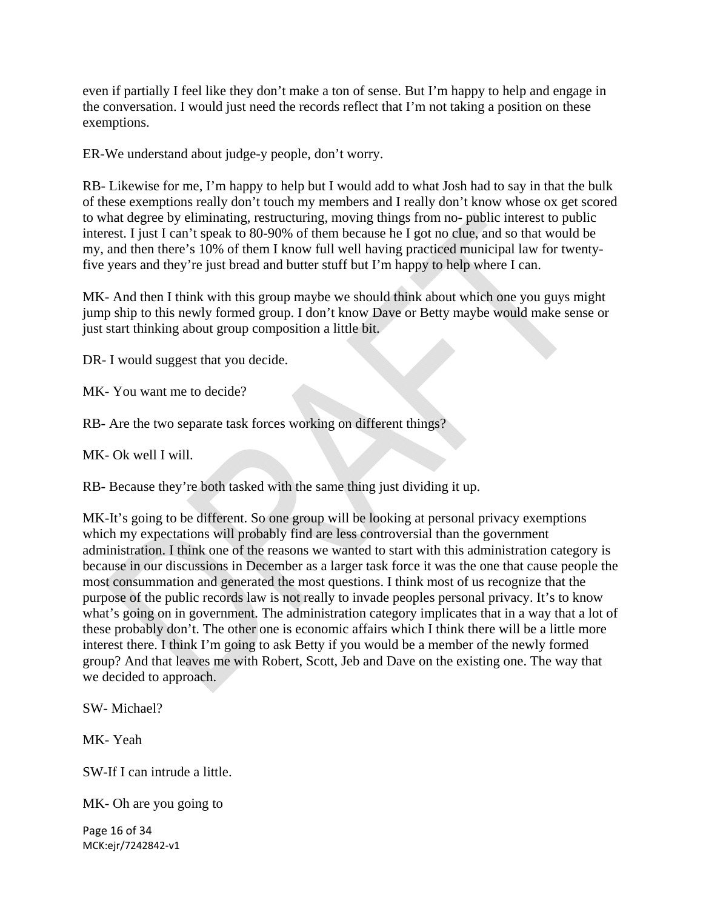even if partially I feel like they don't make a ton of sense. But I'm happy to help and engage in the conversation. I would just need the records reflect that I'm not taking a position on these exemptions.

ER-We understand about judge-y people, don't worry.

RB- Likewise for me, I'm happy to help but I would add to what Josh had to say in that the bulk of these exemptions really don't touch my members and I really don't know whose ox get scored to what degree by eliminating, restructuring, moving things from no- public interest to public interest. I just I can't speak to 80-90% of them because he I got no clue, and so that would be my, and then there's 10% of them I know full well having practiced municipal law for twentyfive years and they're just bread and butter stuff but I'm happy to help where I can.

MK- And then I think with this group maybe we should think about which one you guys might jump ship to this newly formed group. I don't know Dave or Betty maybe would make sense or just start thinking about group composition a little bit.

DR- I would suggest that you decide.

MK- You want me to decide?

RB- Are the two separate task forces working on different things?

MK- Ok well I will.

RB- Because they're both tasked with the same thing just dividing it up.

MK-It's going to be different. So one group will be looking at personal privacy exemptions which my expectations will probably find are less controversial than the government administration. I think one of the reasons we wanted to start with this administration category is because in our discussions in December as a larger task force it was the one that cause people the most consummation and generated the most questions. I think most of us recognize that the purpose of the public records law is not really to invade peoples personal privacy. It's to know what's going on in government. The administration category implicates that in a way that a lot of these probably don't. The other one is economic affairs which I think there will be a little more interest there. I think I'm going to ask Betty if you would be a member of the newly formed group? And that leaves me with Robert, Scott, Jeb and Dave on the existing one. The way that we decided to approach.

SW- Michael?

MK- Yeah

SW-If I can intrude a little.

MK- Oh are you going to

Page 16 of 34 MCK:ejr/7242842‐v1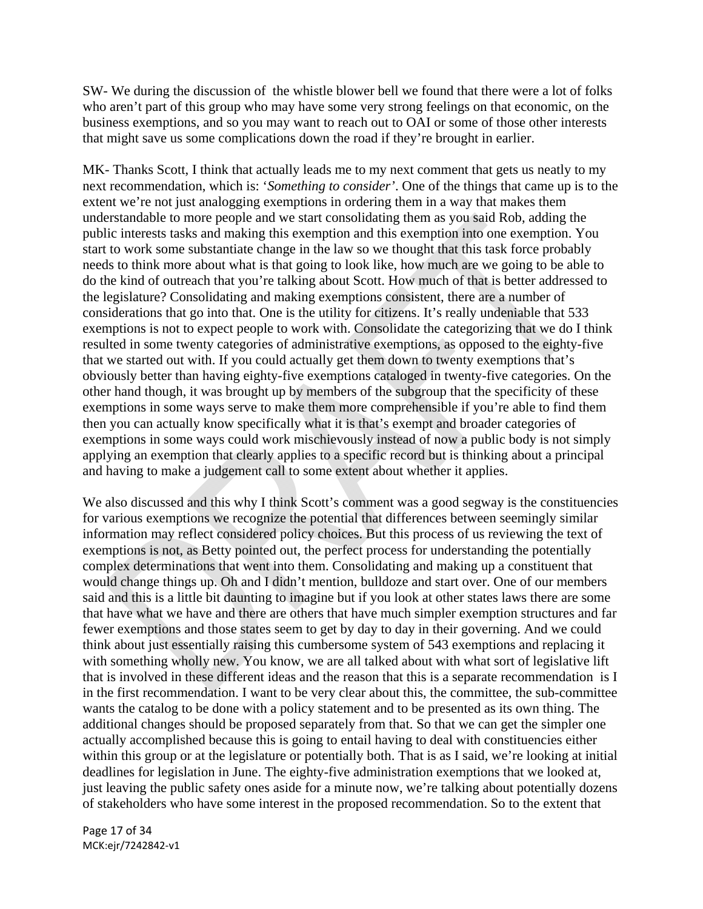SW- We during the discussion of the whistle blower bell we found that there were a lot of folks who aren't part of this group who may have some very strong feelings on that economic, on the business exemptions, and so you may want to reach out to OAI or some of those other interests that might save us some complications down the road if they're brought in earlier.

MK- Thanks Scott, I think that actually leads me to my next comment that gets us neatly to my next recommendation, which is: '*Something to consider'*. One of the things that came up is to the extent we're not just analogging exemptions in ordering them in a way that makes them understandable to more people and we start consolidating them as you said Rob, adding the public interests tasks and making this exemption and this exemption into one exemption. You start to work some substantiate change in the law so we thought that this task force probably needs to think more about what is that going to look like, how much are we going to be able to do the kind of outreach that you're talking about Scott. How much of that is better addressed to the legislature? Consolidating and making exemptions consistent, there are a number of considerations that go into that. One is the utility for citizens. It's really undeniable that 533 exemptions is not to expect people to work with. Consolidate the categorizing that we do I think resulted in some twenty categories of administrative exemptions, as opposed to the eighty-five that we started out with. If you could actually get them down to twenty exemptions that's obviously better than having eighty-five exemptions cataloged in twenty-five categories. On the other hand though, it was brought up by members of the subgroup that the specificity of these exemptions in some ways serve to make them more comprehensible if you're able to find them then you can actually know specifically what it is that's exempt and broader categories of exemptions in some ways could work mischievously instead of now a public body is not simply applying an exemption that clearly applies to a specific record but is thinking about a principal and having to make a judgement call to some extent about whether it applies.

We also discussed and this why I think Scott's comment was a good segway is the constituencies for various exemptions we recognize the potential that differences between seemingly similar information may reflect considered policy choices. But this process of us reviewing the text of exemptions is not, as Betty pointed out, the perfect process for understanding the potentially complex determinations that went into them. Consolidating and making up a constituent that would change things up. Oh and I didn't mention, bulldoze and start over. One of our members said and this is a little bit daunting to imagine but if you look at other states laws there are some that have what we have and there are others that have much simpler exemption structures and far fewer exemptions and those states seem to get by day to day in their governing. And we could think about just essentially raising this cumbersome system of 543 exemptions and replacing it with something wholly new. You know, we are all talked about with what sort of legislative lift that is involved in these different ideas and the reason that this is a separate recommendation is I in the first recommendation. I want to be very clear about this, the committee, the sub-committee wants the catalog to be done with a policy statement and to be presented as its own thing. The additional changes should be proposed separately from that. So that we can get the simpler one actually accomplished because this is going to entail having to deal with constituencies either within this group or at the legislature or potentially both. That is as I said, we're looking at initial deadlines for legislation in June. The eighty-five administration exemptions that we looked at, just leaving the public safety ones aside for a minute now, we're talking about potentially dozens of stakeholders who have some interest in the proposed recommendation. So to the extent that

Page 17 of 34 MCK:ejr/7242842‐v1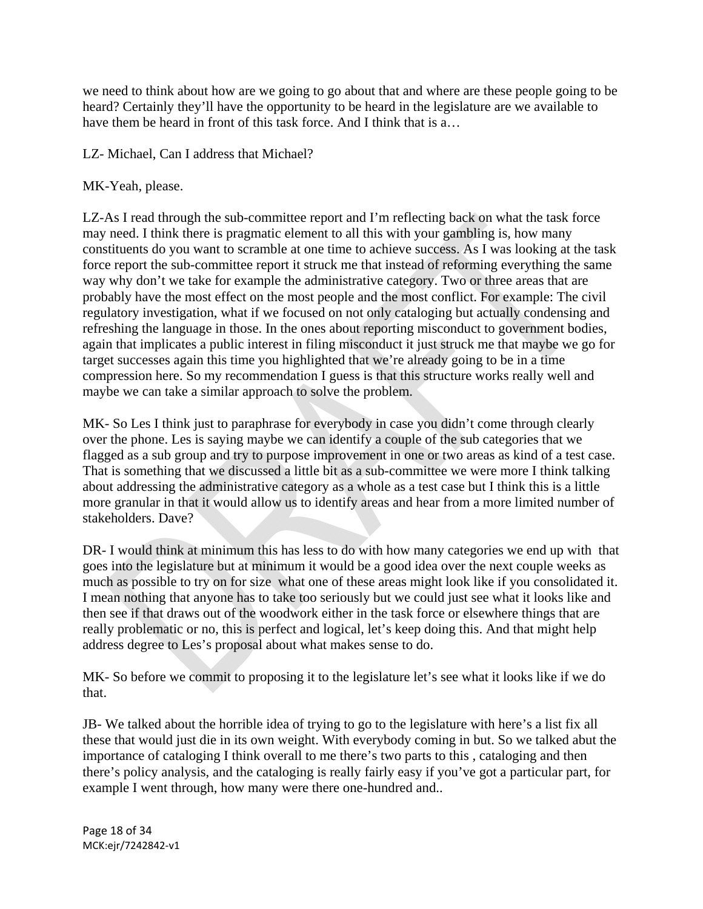we need to think about how are we going to go about that and where are these people going to be heard? Certainly they'll have the opportunity to be heard in the legislature are we available to have them be heard in front of this task force. And I think that is a...

# LZ- Michael, Can I address that Michael?

# MK-Yeah, please.

LZ-As I read through the sub-committee report and I'm reflecting back on what the task force may need. I think there is pragmatic element to all this with your gambling is, how many constituents do you want to scramble at one time to achieve success. As I was looking at the task force report the sub-committee report it struck me that instead of reforming everything the same way why don't we take for example the administrative category. Two or three areas that are probably have the most effect on the most people and the most conflict. For example: The civil regulatory investigation, what if we focused on not only cataloging but actually condensing and refreshing the language in those. In the ones about reporting misconduct to government bodies, again that implicates a public interest in filing misconduct it just struck me that maybe we go for target successes again this time you highlighted that we're already going to be in a time compression here. So my recommendation I guess is that this structure works really well and maybe we can take a similar approach to solve the problem.

MK- So Les I think just to paraphrase for everybody in case you didn't come through clearly over the phone. Les is saying maybe we can identify a couple of the sub categories that we flagged as a sub group and try to purpose improvement in one or two areas as kind of a test case. That is something that we discussed a little bit as a sub-committee we were more I think talking about addressing the administrative category as a whole as a test case but I think this is a little more granular in that it would allow us to identify areas and hear from a more limited number of stakeholders. Dave?

DR- I would think at minimum this has less to do with how many categories we end up with that goes into the legislature but at minimum it would be a good idea over the next couple weeks as much as possible to try on for size what one of these areas might look like if you consolidated it. I mean nothing that anyone has to take too seriously but we could just see what it looks like and then see if that draws out of the woodwork either in the task force or elsewhere things that are really problematic or no, this is perfect and logical, let's keep doing this. And that might help address degree to Les's proposal about what makes sense to do.

MK- So before we commit to proposing it to the legislature let's see what it looks like if we do that.

JB- We talked about the horrible idea of trying to go to the legislature with here's a list fix all these that would just die in its own weight. With everybody coming in but. So we talked abut the importance of cataloging I think overall to me there's two parts to this , cataloging and then there's policy analysis, and the cataloging is really fairly easy if you've got a particular part, for example I went through, how many were there one-hundred and..

Page 18 of 34 MCK:ejr/7242842‐v1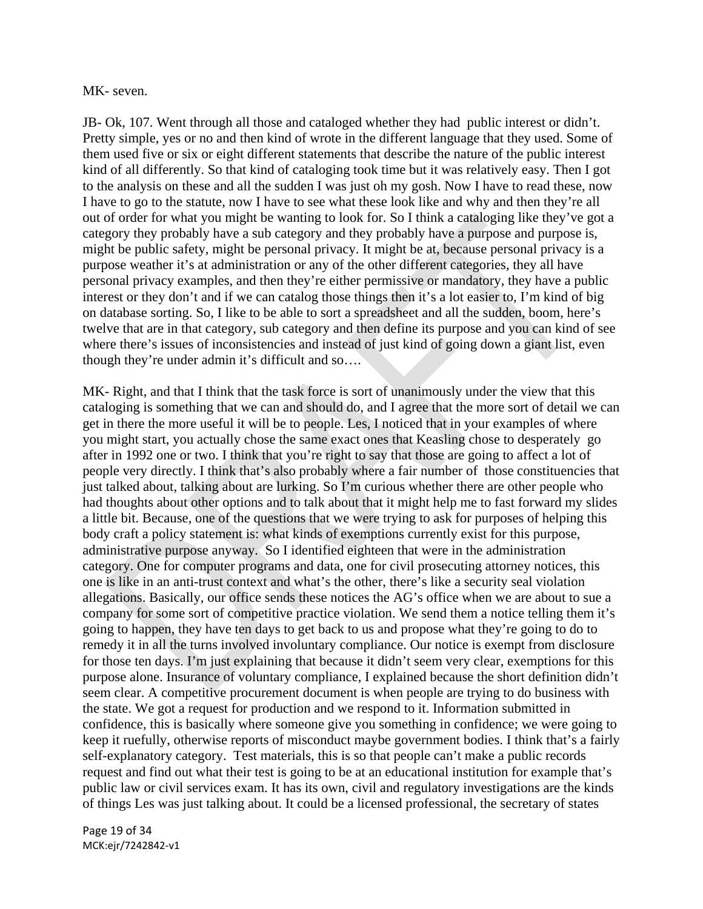### MK- seven.

JB- Ok, 107. Went through all those and cataloged whether they had public interest or didn't. Pretty simple, yes or no and then kind of wrote in the different language that they used. Some of them used five or six or eight different statements that describe the nature of the public interest kind of all differently. So that kind of cataloging took time but it was relatively easy. Then I got to the analysis on these and all the sudden I was just oh my gosh. Now I have to read these, now I have to go to the statute, now I have to see what these look like and why and then they're all out of order for what you might be wanting to look for. So I think a cataloging like they've got a category they probably have a sub category and they probably have a purpose and purpose is, might be public safety, might be personal privacy. It might be at, because personal privacy is a purpose weather it's at administration or any of the other different categories, they all have personal privacy examples, and then they're either permissive or mandatory, they have a public interest or they don't and if we can catalog those things then it's a lot easier to, I'm kind of big on database sorting. So, I like to be able to sort a spreadsheet and all the sudden, boom, here's twelve that are in that category, sub category and then define its purpose and you can kind of see where there's issues of inconsistencies and instead of just kind of going down a giant list, even though they're under admin it's difficult and so….

MK- Right, and that I think that the task force is sort of unanimously under the view that this cataloging is something that we can and should do, and I agree that the more sort of detail we can get in there the more useful it will be to people. Les, I noticed that in your examples of where you might start, you actually chose the same exact ones that Keasling chose to desperately go after in 1992 one or two. I think that you're right to say that those are going to affect a lot of people very directly. I think that's also probably where a fair number of those constituencies that just talked about, talking about are lurking. So I'm curious whether there are other people who had thoughts about other options and to talk about that it might help me to fast forward my slides a little bit. Because, one of the questions that we were trying to ask for purposes of helping this body craft a policy statement is: what kinds of exemptions currently exist for this purpose, administrative purpose anyway. So I identified eighteen that were in the administration category. One for computer programs and data, one for civil prosecuting attorney notices, this one is like in an anti-trust context and what's the other, there's like a security seal violation allegations. Basically, our office sends these notices the AG's office when we are about to sue a company for some sort of competitive practice violation. We send them a notice telling them it's going to happen, they have ten days to get back to us and propose what they're going to do to remedy it in all the turns involved involuntary compliance. Our notice is exempt from disclosure for those ten days. I'm just explaining that because it didn't seem very clear, exemptions for this purpose alone. Insurance of voluntary compliance, I explained because the short definition didn't seem clear. A competitive procurement document is when people are trying to do business with the state. We got a request for production and we respond to it. Information submitted in confidence, this is basically where someone give you something in confidence; we were going to keep it ruefully, otherwise reports of misconduct maybe government bodies. I think that's a fairly self-explanatory category. Test materials, this is so that people can't make a public records request and find out what their test is going to be at an educational institution for example that's public law or civil services exam. It has its own, civil and regulatory investigations are the kinds of things Les was just talking about. It could be a licensed professional, the secretary of states

Page 19 of 34 MCK:ejr/7242842‐v1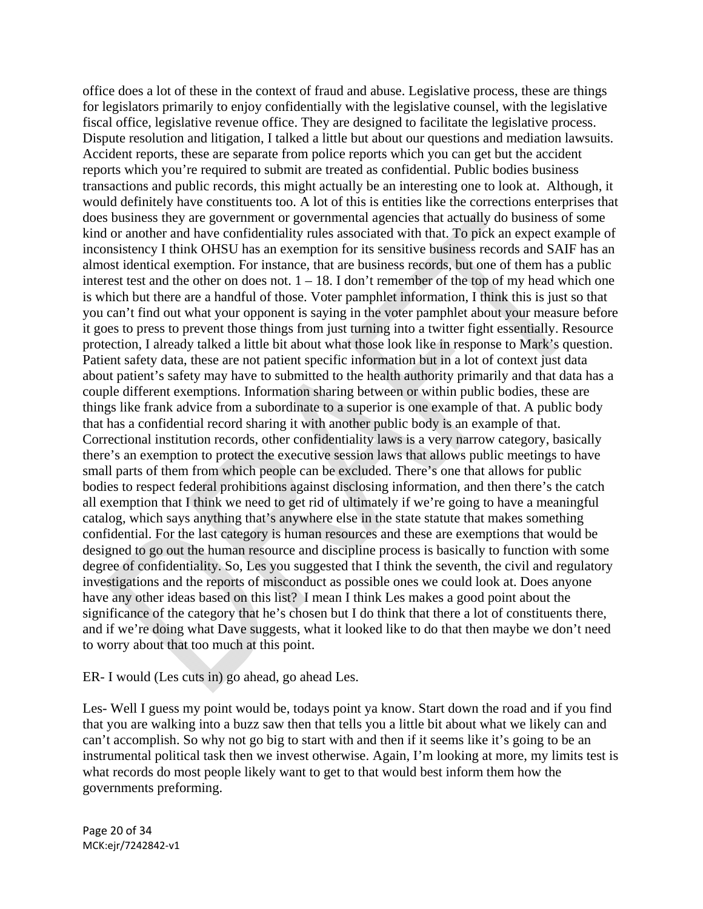office does a lot of these in the context of fraud and abuse. Legislative process, these are things for legislators primarily to enjoy confidentially with the legislative counsel, with the legislative fiscal office, legislative revenue office. They are designed to facilitate the legislative process. Dispute resolution and litigation, I talked a little but about our questions and mediation lawsuits. Accident reports, these are separate from police reports which you can get but the accident reports which you're required to submit are treated as confidential. Public bodies business transactions and public records, this might actually be an interesting one to look at. Although, it would definitely have constituents too. A lot of this is entities like the corrections enterprises that does business they are government or governmental agencies that actually do business of some kind or another and have confidentiality rules associated with that. To pick an expect example of inconsistency I think OHSU has an exemption for its sensitive business records and SAIF has an almost identical exemption. For instance, that are business records, but one of them has a public interest test and the other on does not.  $1 - 18$ . I don't remember of the top of my head which one is which but there are a handful of those. Voter pamphlet information, I think this is just so that you can't find out what your opponent is saying in the voter pamphlet about your measure before it goes to press to prevent those things from just turning into a twitter fight essentially. Resource protection, I already talked a little bit about what those look like in response to Mark's question. Patient safety data, these are not patient specific information but in a lot of context just data about patient's safety may have to submitted to the health authority primarily and that data has a couple different exemptions. Information sharing between or within public bodies, these are things like frank advice from a subordinate to a superior is one example of that. A public body that has a confidential record sharing it with another public body is an example of that. Correctional institution records, other confidentiality laws is a very narrow category, basically there's an exemption to protect the executive session laws that allows public meetings to have small parts of them from which people can be excluded. There's one that allows for public bodies to respect federal prohibitions against disclosing information, and then there's the catch all exemption that I think we need to get rid of ultimately if we're going to have a meaningful catalog, which says anything that's anywhere else in the state statute that makes something confidential. For the last category is human resources and these are exemptions that would be designed to go out the human resource and discipline process is basically to function with some degree of confidentiality. So, Les you suggested that I think the seventh, the civil and regulatory investigations and the reports of misconduct as possible ones we could look at. Does anyone have any other ideas based on this list? I mean I think Les makes a good point about the significance of the category that he's chosen but I do think that there a lot of constituents there, and if we're doing what Dave suggests, what it looked like to do that then maybe we don't need to worry about that too much at this point.

ER- I would (Les cuts in) go ahead, go ahead Les.

Les- Well I guess my point would be, todays point ya know. Start down the road and if you find that you are walking into a buzz saw then that tells you a little bit about what we likely can and can't accomplish. So why not go big to start with and then if it seems like it's going to be an instrumental political task then we invest otherwise. Again, I'm looking at more, my limits test is what records do most people likely want to get to that would best inform them how the governments preforming.

Page 20 of 34 MCK:ejr/7242842‐v1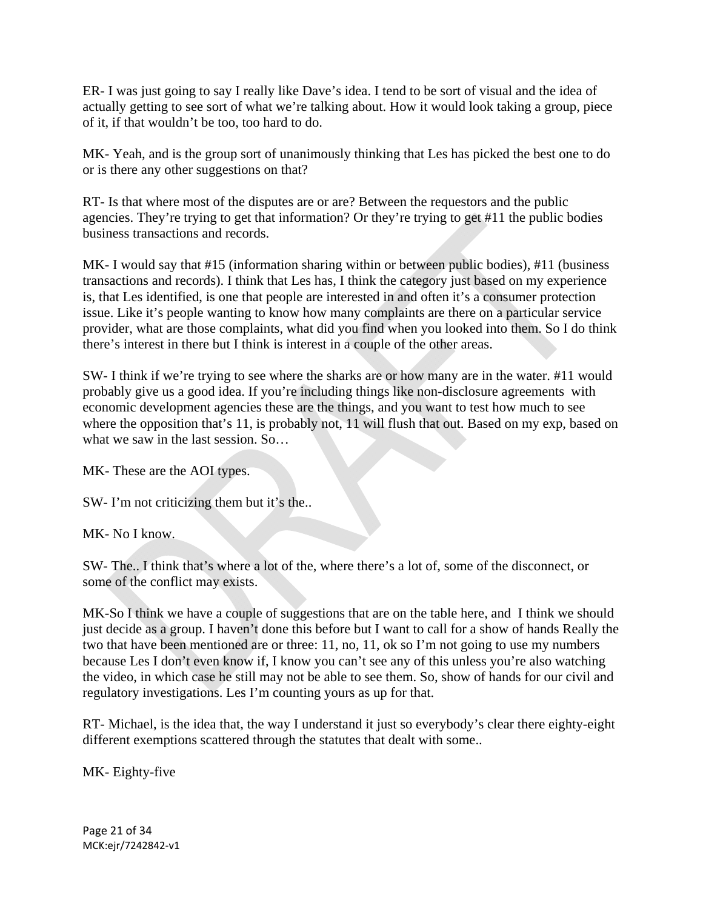ER- I was just going to say I really like Dave's idea. I tend to be sort of visual and the idea of actually getting to see sort of what we're talking about. How it would look taking a group, piece of it, if that wouldn't be too, too hard to do.

MK- Yeah, and is the group sort of unanimously thinking that Les has picked the best one to do or is there any other suggestions on that?

RT- Is that where most of the disputes are or are? Between the requestors and the public agencies. They're trying to get that information? Or they're trying to get #11 the public bodies business transactions and records.

MK- I would say that #15 (information sharing within or between public bodies), #11 (business transactions and records). I think that Les has, I think the category just based on my experience is, that Les identified, is one that people are interested in and often it's a consumer protection issue. Like it's people wanting to know how many complaints are there on a particular service provider, what are those complaints, what did you find when you looked into them. So I do think there's interest in there but I think is interest in a couple of the other areas.

SW- I think if we're trying to see where the sharks are or how many are in the water. #11 would probably give us a good idea. If you're including things like non-disclosure agreements with economic development agencies these are the things, and you want to test how much to see where the opposition that's 11, is probably not, 11 will flush that out. Based on my exp, based on what we saw in the last session. So...

MK- These are the AOI types.

SW- I'm not criticizing them but it's the..

MK- No I know.

SW- The.. I think that's where a lot of the, where there's a lot of, some of the disconnect, or some of the conflict may exists.

MK-So I think we have a couple of suggestions that are on the table here, and I think we should just decide as a group. I haven't done this before but I want to call for a show of hands Really the two that have been mentioned are or three: 11, no, 11, ok so I'm not going to use my numbers because Les I don't even know if, I know you can't see any of this unless you're also watching the video, in which case he still may not be able to see them. So, show of hands for our civil and regulatory investigations. Les I'm counting yours as up for that.

RT- Michael, is the idea that, the way I understand it just so everybody's clear there eighty-eight different exemptions scattered through the statutes that dealt with some..

MK- Eighty-five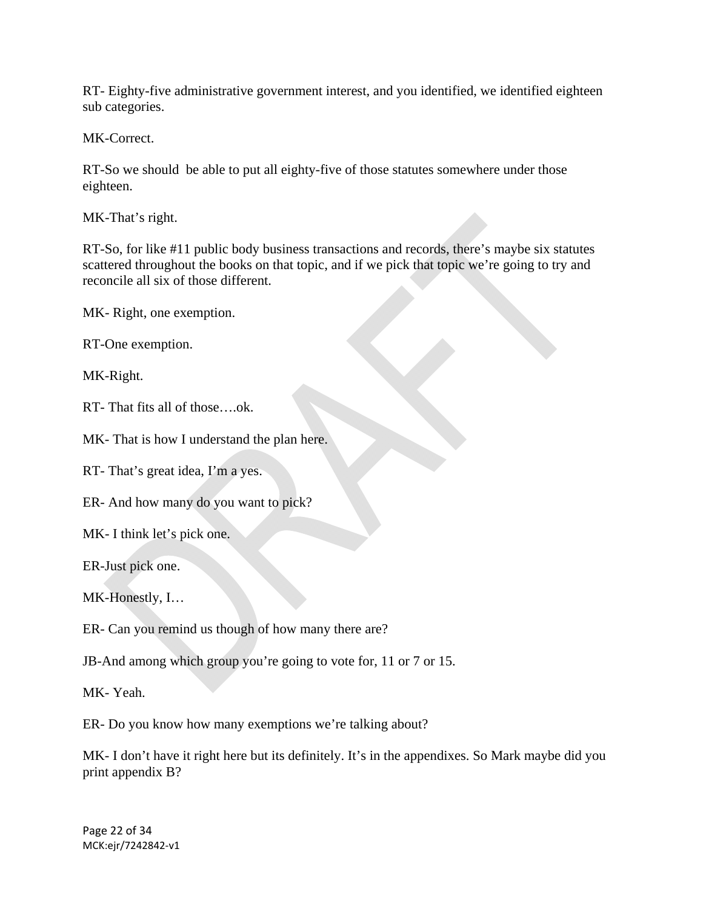RT- Eighty-five administrative government interest, and you identified, we identified eighteen sub categories.

MK-Correct.

RT-So we should be able to put all eighty-five of those statutes somewhere under those eighteen.

MK-That's right.

RT-So, for like #11 public body business transactions and records, there's maybe six statutes scattered throughout the books on that topic, and if we pick that topic we're going to try and reconcile all six of those different.

MK- Right, one exemption.

RT-One exemption.

MK-Right.

RT- That fits all of those….ok.

MK- That is how I understand the plan here.

RT- That's great idea, I'm a yes.

ER- And how many do you want to pick?

MK- I think let's pick one.

ER-Just pick one.

MK-Honestly, I…

ER- Can you remind us though of how many there are?

JB-And among which group you're going to vote for, 11 or 7 or 15.

MK- Yeah.

ER- Do you know how many exemptions we're talking about?

MK- I don't have it right here but its definitely. It's in the appendixes. So Mark maybe did you print appendix B?

Page 22 of 34 MCK:ejr/7242842‐v1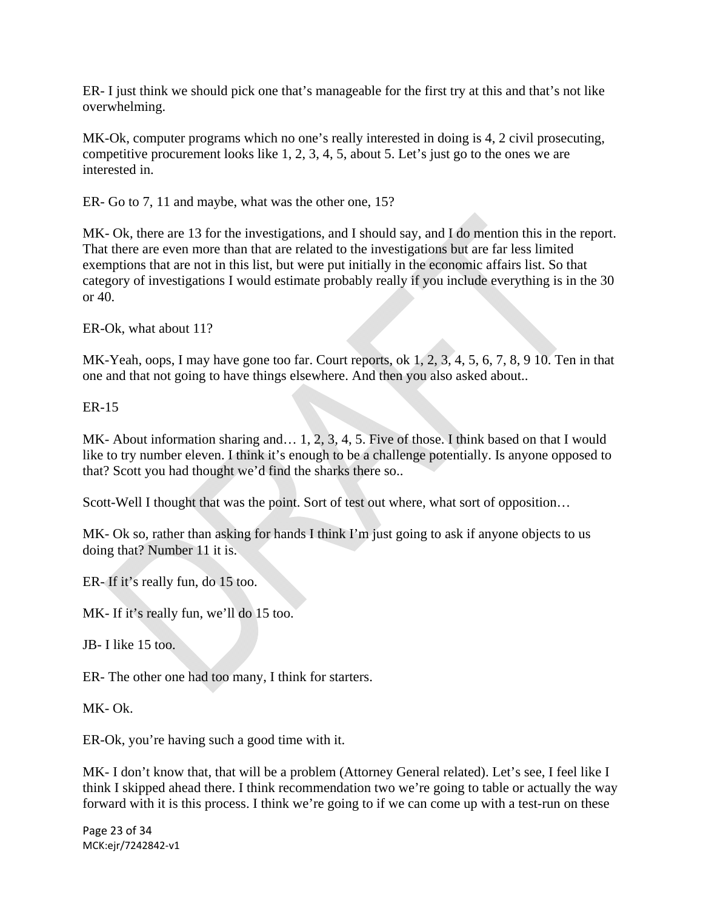ER- I just think we should pick one that's manageable for the first try at this and that's not like overwhelming.

MK-Ok, computer programs which no one's really interested in doing is 4, 2 civil prosecuting, competitive procurement looks like 1, 2, 3, 4, 5, about 5. Let's just go to the ones we are interested in.

ER- Go to 7, 11 and maybe, what was the other one, 15?

MK- Ok, there are 13 for the investigations, and I should say, and I do mention this in the report. That there are even more than that are related to the investigations but are far less limited exemptions that are not in this list, but were put initially in the economic affairs list. So that category of investigations I would estimate probably really if you include everything is in the 30 or 40.

ER-Ok, what about 11?

MK-Yeah, oops, I may have gone too far. Court reports, ok 1, 2, 3, 4, 5, 6, 7, 8, 9 10. Ten in that one and that not going to have things elsewhere. And then you also asked about..

ER-15

MK- About information sharing and… 1, 2, 3, 4, 5. Five of those. I think based on that I would like to try number eleven. I think it's enough to be a challenge potentially. Is anyone opposed to that? Scott you had thought we'd find the sharks there so..

Scott-Well I thought that was the point. Sort of test out where, what sort of opposition…

MK- Ok so, rather than asking for hands I think I'm just going to ask if anyone objects to us doing that? Number 11 it is.

ER- If it's really fun, do 15 too.

MK- If it's really fun, we'll do 15 too.

JB- I like 15 too.

ER- The other one had too many, I think for starters.

MK- Ok.

ER-Ok, you're having such a good time with it.

MK- I don't know that, that will be a problem (Attorney General related). Let's see, I feel like I think I skipped ahead there. I think recommendation two we're going to table or actually the way forward with it is this process. I think we're going to if we can come up with a test-run on these

Page 23 of 34 MCK:ejr/7242842‐v1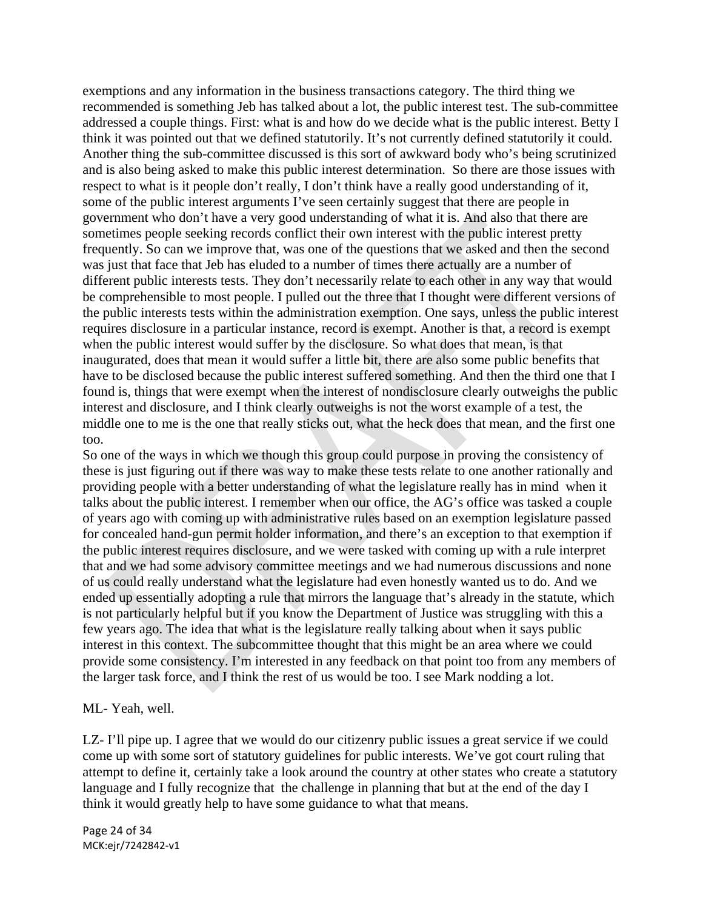exemptions and any information in the business transactions category. The third thing we recommended is something Jeb has talked about a lot, the public interest test. The sub-committee addressed a couple things. First: what is and how do we decide what is the public interest. Betty I think it was pointed out that we defined statutorily. It's not currently defined statutorily it could. Another thing the sub-committee discussed is this sort of awkward body who's being scrutinized and is also being asked to make this public interest determination. So there are those issues with respect to what is it people don't really, I don't think have a really good understanding of it, some of the public interest arguments I've seen certainly suggest that there are people in government who don't have a very good understanding of what it is. And also that there are sometimes people seeking records conflict their own interest with the public interest pretty frequently. So can we improve that, was one of the questions that we asked and then the second was just that face that Jeb has eluded to a number of times there actually are a number of different public interests tests. They don't necessarily relate to each other in any way that would be comprehensible to most people. I pulled out the three that I thought were different versions of the public interests tests within the administration exemption. One says, unless the public interest requires disclosure in a particular instance, record is exempt. Another is that, a record is exempt when the public interest would suffer by the disclosure. So what does that mean, is that inaugurated, does that mean it would suffer a little bit, there are also some public benefits that have to be disclosed because the public interest suffered something. And then the third one that I found is, things that were exempt when the interest of nondisclosure clearly outweighs the public interest and disclosure, and I think clearly outweighs is not the worst example of a test, the middle one to me is the one that really sticks out, what the heck does that mean, and the first one too.

So one of the ways in which we though this group could purpose in proving the consistency of these is just figuring out if there was way to make these tests relate to one another rationally and providing people with a better understanding of what the legislature really has in mind when it talks about the public interest. I remember when our office, the AG's office was tasked a couple of years ago with coming up with administrative rules based on an exemption legislature passed for concealed hand-gun permit holder information, and there's an exception to that exemption if the public interest requires disclosure, and we were tasked with coming up with a rule interpret that and we had some advisory committee meetings and we had numerous discussions and none of us could really understand what the legislature had even honestly wanted us to do. And we ended up essentially adopting a rule that mirrors the language that's already in the statute, which is not particularly helpful but if you know the Department of Justice was struggling with this a few years ago. The idea that what is the legislature really talking about when it says public interest in this context. The subcommittee thought that this might be an area where we could provide some consistency. I'm interested in any feedback on that point too from any members of the larger task force, and I think the rest of us would be too. I see Mark nodding a lot.

#### ML- Yeah, well.

LZ- I'll pipe up. I agree that we would do our citizenry public issues a great service if we could come up with some sort of statutory guidelines for public interests. We've got court ruling that attempt to define it, certainly take a look around the country at other states who create a statutory language and I fully recognize that the challenge in planning that but at the end of the day I think it would greatly help to have some guidance to what that means.

Page 24 of 34 MCK:ejr/7242842‐v1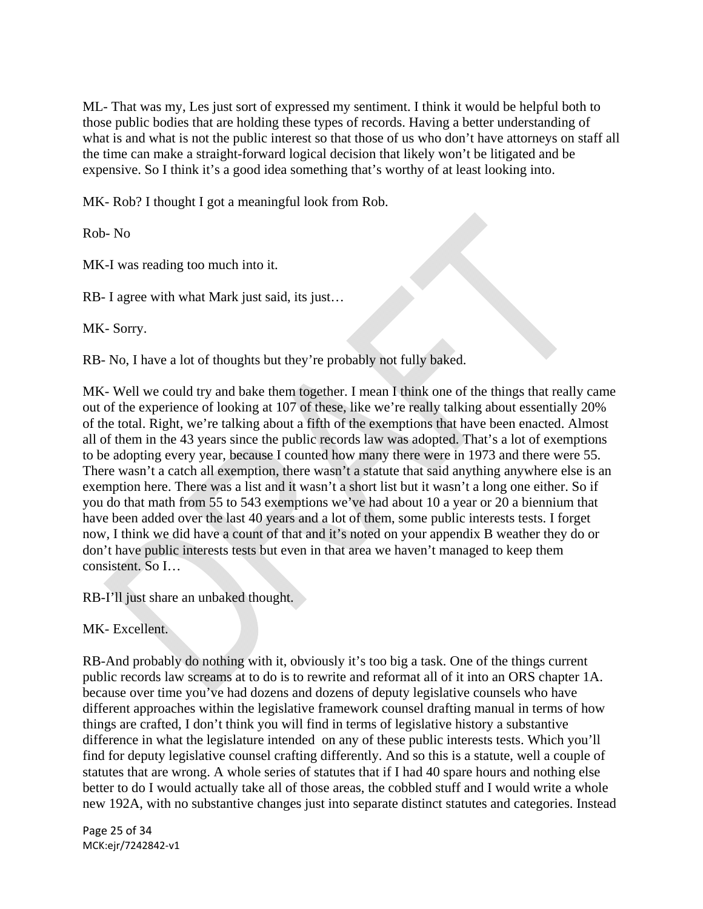ML- That was my, Les just sort of expressed my sentiment. I think it would be helpful both to those public bodies that are holding these types of records. Having a better understanding of what is and what is not the public interest so that those of us who don't have attorneys on staff all the time can make a straight-forward logical decision that likely won't be litigated and be expensive. So I think it's a good idea something that's worthy of at least looking into.

MK- Rob? I thought I got a meaningful look from Rob.

Rob- No

MK-I was reading too much into it.

RB- I agree with what Mark just said, its just...

MK- Sorry.

RB- No, I have a lot of thoughts but they're probably not fully baked.

MK- Well we could try and bake them together. I mean I think one of the things that really came out of the experience of looking at 107 of these, like we're really talking about essentially 20% of the total. Right, we're talking about a fifth of the exemptions that have been enacted. Almost all of them in the 43 years since the public records law was adopted. That's a lot of exemptions to be adopting every year, because I counted how many there were in 1973 and there were 55. There wasn't a catch all exemption, there wasn't a statute that said anything anywhere else is an exemption here. There was a list and it wasn't a short list but it wasn't a long one either. So if you do that math from 55 to 543 exemptions we've had about 10 a year or 20 a biennium that have been added over the last 40 years and a lot of them, some public interests tests. I forget now, I think we did have a count of that and it's noted on your appendix B weather they do or don't have public interests tests but even in that area we haven't managed to keep them consistent. So I…

RB-I'll just share an unbaked thought.

MK- Excellent.

RB-And probably do nothing with it, obviously it's too big a task. One of the things current public records law screams at to do is to rewrite and reformat all of it into an ORS chapter 1A. because over time you've had dozens and dozens of deputy legislative counsels who have different approaches within the legislative framework counsel drafting manual in terms of how things are crafted, I don't think you will find in terms of legislative history a substantive difference in what the legislature intended on any of these public interests tests. Which you'll find for deputy legislative counsel crafting differently. And so this is a statute, well a couple of statutes that are wrong. A whole series of statutes that if I had 40 spare hours and nothing else better to do I would actually take all of those areas, the cobbled stuff and I would write a whole new 192A, with no substantive changes just into separate distinct statutes and categories. Instead

Page 25 of 34 MCK:ejr/7242842‐v1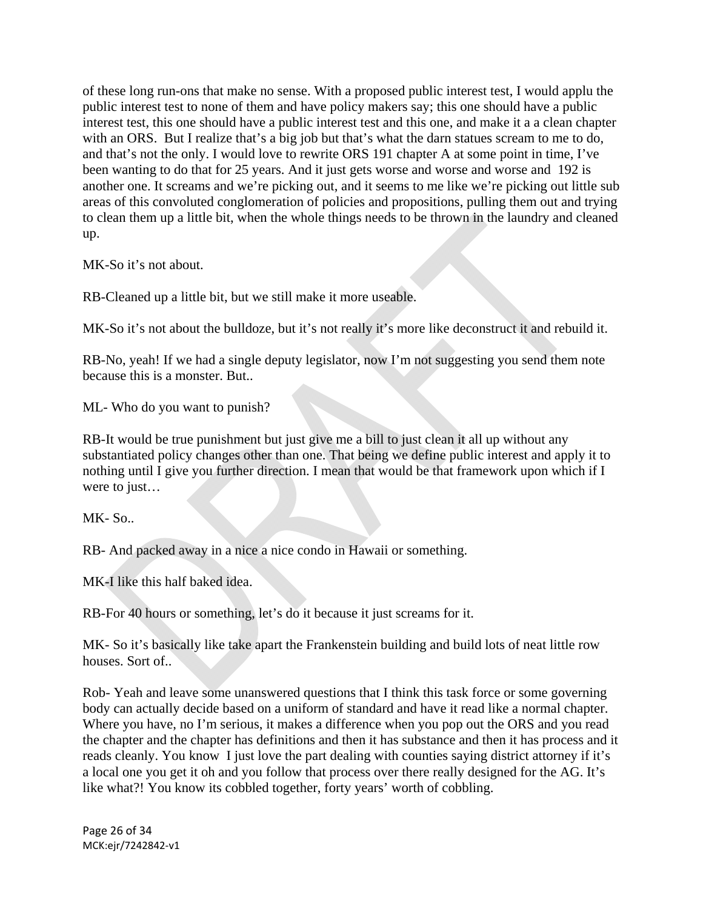of these long run-ons that make no sense. With a proposed public interest test, I would applu the public interest test to none of them and have policy makers say; this one should have a public interest test, this one should have a public interest test and this one, and make it a a clean chapter with an ORS. But I realize that's a big job but that's what the darn statues scream to me to do, and that's not the only. I would love to rewrite ORS 191 chapter A at some point in time, I've been wanting to do that for 25 years. And it just gets worse and worse and worse and 192 is another one. It screams and we're picking out, and it seems to me like we're picking out little sub areas of this convoluted conglomeration of policies and propositions, pulling them out and trying to clean them up a little bit, when the whole things needs to be thrown in the laundry and cleaned up.

MK-So it's not about.

RB-Cleaned up a little bit, but we still make it more useable.

MK-So it's not about the bulldoze, but it's not really it's more like deconstruct it and rebuild it.

RB-No, yeah! If we had a single deputy legislator, now I'm not suggesting you send them note because this is a monster. But..

ML- Who do you want to punish?

RB-It would be true punishment but just give me a bill to just clean it all up without any substantiated policy changes other than one. That being we define public interest and apply it to nothing until I give you further direction. I mean that would be that framework upon which if I were to just…

MK- So..

RB- And packed away in a nice a nice condo in Hawaii or something.

MK-I like this half baked idea.

RB-For 40 hours or something, let's do it because it just screams for it.

MK- So it's basically like take apart the Frankenstein building and build lots of neat little row houses. Sort of..

Rob- Yeah and leave some unanswered questions that I think this task force or some governing body can actually decide based on a uniform of standard and have it read like a normal chapter. Where you have, no I'm serious, it makes a difference when you pop out the ORS and you read the chapter and the chapter has definitions and then it has substance and then it has process and it reads cleanly. You know I just love the part dealing with counties saying district attorney if it's a local one you get it oh and you follow that process over there really designed for the AG. It's like what?! You know its cobbled together, forty years' worth of cobbling.

Page 26 of 34 MCK:ejr/7242842‐v1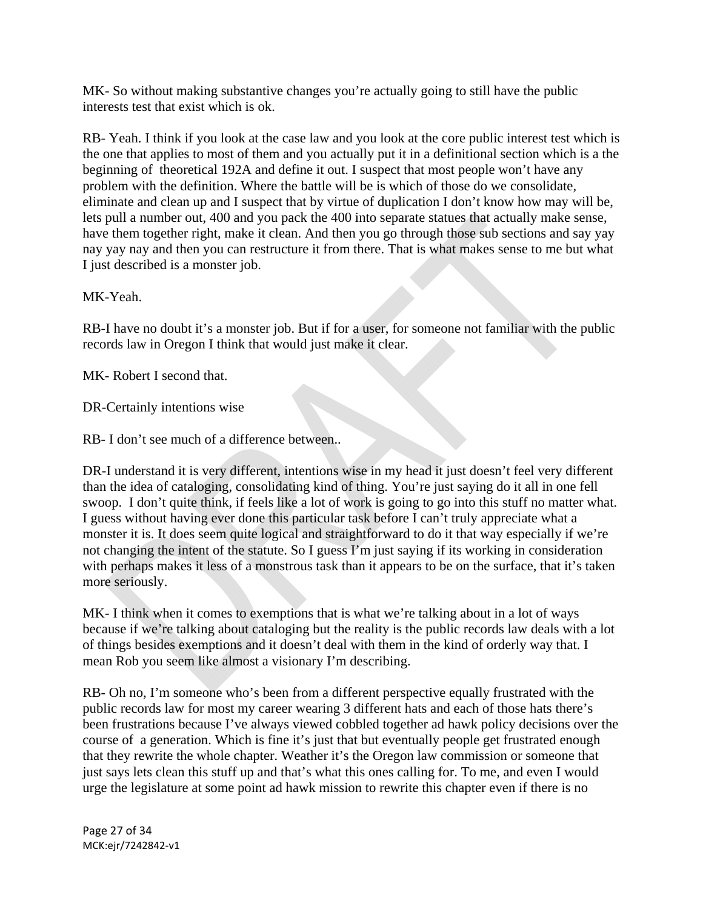MK- So without making substantive changes you're actually going to still have the public interests test that exist which is ok.

RB- Yeah. I think if you look at the case law and you look at the core public interest test which is the one that applies to most of them and you actually put it in a definitional section which is a the beginning of theoretical 192A and define it out. I suspect that most people won't have any problem with the definition. Where the battle will be is which of those do we consolidate, eliminate and clean up and I suspect that by virtue of duplication I don't know how may will be, lets pull a number out, 400 and you pack the 400 into separate statues that actually make sense, have them together right, make it clean. And then you go through those sub sections and say yay nay yay nay and then you can restructure it from there. That is what makes sense to me but what I just described is a monster job.

MK-Yeah.

RB-I have no doubt it's a monster job. But if for a user, for someone not familiar with the public records law in Oregon I think that would just make it clear.

MK- Robert I second that.

DR-Certainly intentions wise

RB- I don't see much of a difference between..

DR-I understand it is very different, intentions wise in my head it just doesn't feel very different than the idea of cataloging, consolidating kind of thing. You're just saying do it all in one fell swoop. I don't quite think, if feels like a lot of work is going to go into this stuff no matter what. I guess without having ever done this particular task before I can't truly appreciate what a monster it is. It does seem quite logical and straightforward to do it that way especially if we're not changing the intent of the statute. So I guess I'm just saying if its working in consideration with perhaps makes it less of a monstrous task than it appears to be on the surface, that it's taken more seriously.

MK- I think when it comes to exemptions that is what we're talking about in a lot of ways because if we're talking about cataloging but the reality is the public records law deals with a lot of things besides exemptions and it doesn't deal with them in the kind of orderly way that. I mean Rob you seem like almost a visionary I'm describing.

RB- Oh no, I'm someone who's been from a different perspective equally frustrated with the public records law for most my career wearing 3 different hats and each of those hats there's been frustrations because I've always viewed cobbled together ad hawk policy decisions over the course of a generation. Which is fine it's just that but eventually people get frustrated enough that they rewrite the whole chapter. Weather it's the Oregon law commission or someone that just says lets clean this stuff up and that's what this ones calling for. To me, and even I would urge the legislature at some point ad hawk mission to rewrite this chapter even if there is no

Page 27 of 34 MCK:ejr/7242842‐v1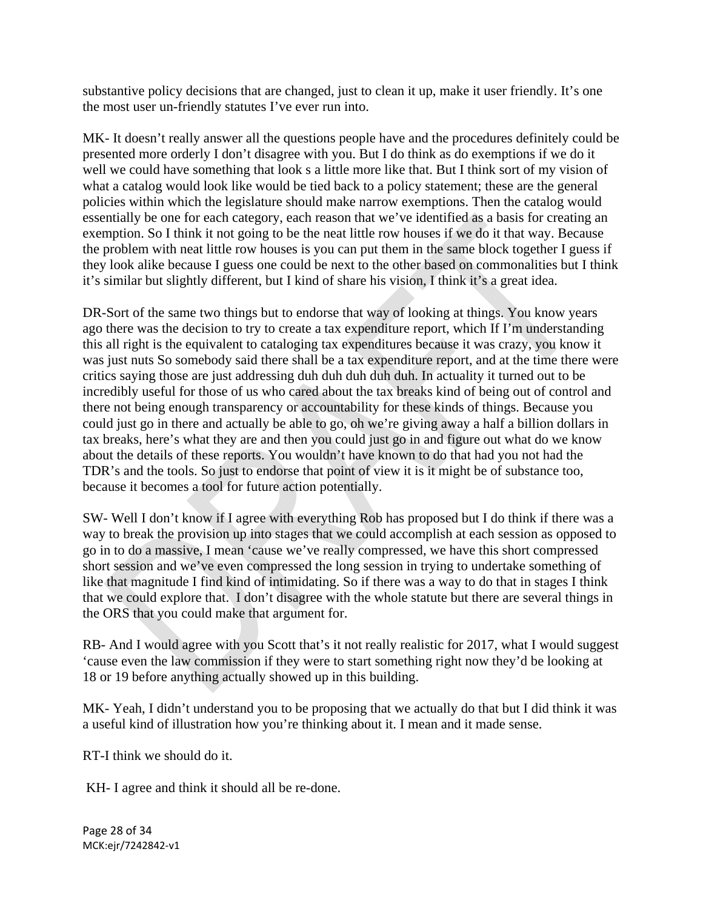substantive policy decisions that are changed, just to clean it up, make it user friendly. It's one the most user un-friendly statutes I've ever run into.

MK- It doesn't really answer all the questions people have and the procedures definitely could be presented more orderly I don't disagree with you. But I do think as do exemptions if we do it well we could have something that look s a little more like that. But I think sort of my vision of what a catalog would look like would be tied back to a policy statement; these are the general policies within which the legislature should make narrow exemptions. Then the catalog would essentially be one for each category, each reason that we've identified as a basis for creating an exemption. So I think it not going to be the neat little row houses if we do it that way. Because the problem with neat little row houses is you can put them in the same block together I guess if they look alike because I guess one could be next to the other based on commonalities but I think it's similar but slightly different, but I kind of share his vision, I think it's a great idea.

DR-Sort of the same two things but to endorse that way of looking at things. You know years ago there was the decision to try to create a tax expenditure report, which If I'm understanding this all right is the equivalent to cataloging tax expenditures because it was crazy, you know it was just nuts So somebody said there shall be a tax expenditure report, and at the time there were critics saying those are just addressing duh duh duh duh duh. In actuality it turned out to be incredibly useful for those of us who cared about the tax breaks kind of being out of control and there not being enough transparency or accountability for these kinds of things. Because you could just go in there and actually be able to go, oh we're giving away a half a billion dollars in tax breaks, here's what they are and then you could just go in and figure out what do we know about the details of these reports. You wouldn't have known to do that had you not had the TDR's and the tools. So just to endorse that point of view it is it might be of substance too, because it becomes a tool for future action potentially.

SW- Well I don't know if I agree with everything Rob has proposed but I do think if there was a way to break the provision up into stages that we could accomplish at each session as opposed to go in to do a massive, I mean 'cause we've really compressed, we have this short compressed short session and we've even compressed the long session in trying to undertake something of like that magnitude I find kind of intimidating. So if there was a way to do that in stages I think that we could explore that. I don't disagree with the whole statute but there are several things in the ORS that you could make that argument for.

RB- And I would agree with you Scott that's it not really realistic for 2017, what I would suggest 'cause even the law commission if they were to start something right now they'd be looking at 18 or 19 before anything actually showed up in this building.

MK- Yeah, I didn't understand you to be proposing that we actually do that but I did think it was a useful kind of illustration how you're thinking about it. I mean and it made sense.

RT-I think we should do it.

KH- I agree and think it should all be re-done.

Page 28 of 34 MCK:ejr/7242842‐v1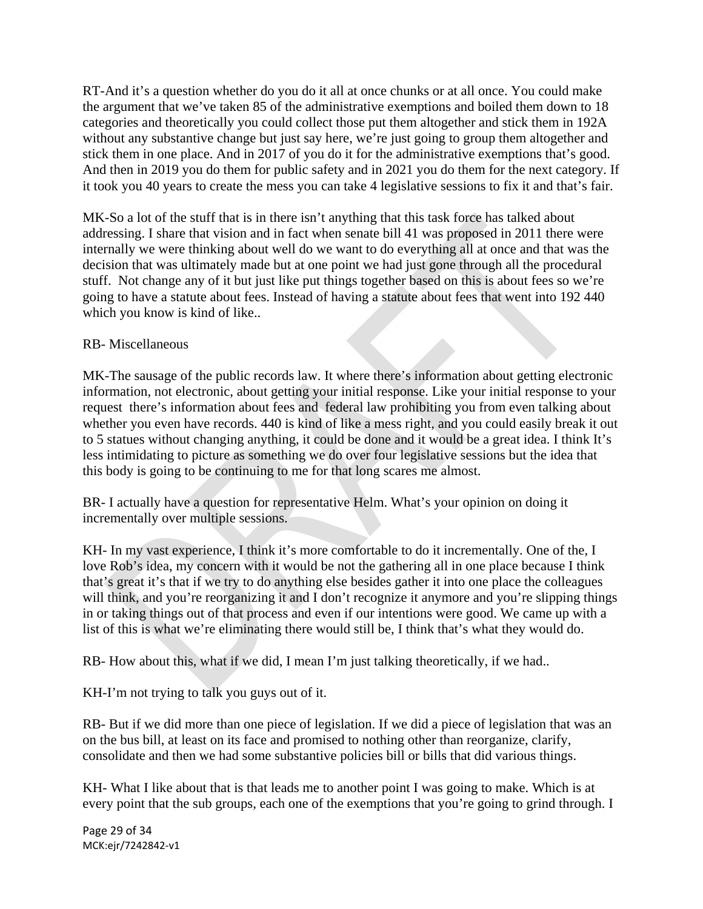RT-And it's a question whether do you do it all at once chunks or at all once. You could make the argument that we've taken 85 of the administrative exemptions and boiled them down to 18 categories and theoretically you could collect those put them altogether and stick them in 192A without any substantive change but just say here, we're just going to group them altogether and stick them in one place. And in 2017 of you do it for the administrative exemptions that's good. And then in 2019 you do them for public safety and in 2021 you do them for the next category. If it took you 40 years to create the mess you can take 4 legislative sessions to fix it and that's fair.

MK-So a lot of the stuff that is in there isn't anything that this task force has talked about addressing. I share that vision and in fact when senate bill 41 was proposed in 2011 there were internally we were thinking about well do we want to do everything all at once and that was the decision that was ultimately made but at one point we had just gone through all the procedural stuff. Not change any of it but just like put things together based on this is about fees so we're going to have a statute about fees. Instead of having a statute about fees that went into 192 440 which you know is kind of like..

# RB- Miscellaneous

MK-The sausage of the public records law. It where there's information about getting electronic information, not electronic, about getting your initial response. Like your initial response to your request there's information about fees and federal law prohibiting you from even talking about whether you even have records. 440 is kind of like a mess right, and you could easily break it out to 5 statues without changing anything, it could be done and it would be a great idea. I think It's less intimidating to picture as something we do over four legislative sessions but the idea that this body is going to be continuing to me for that long scares me almost.

BR- I actually have a question for representative Helm. What's your opinion on doing it incrementally over multiple sessions.

KH- In my vast experience, I think it's more comfortable to do it incrementally. One of the, I love Rob's idea, my concern with it would be not the gathering all in one place because I think that's great it's that if we try to do anything else besides gather it into one place the colleagues will think, and you're reorganizing it and I don't recognize it anymore and you're slipping things in or taking things out of that process and even if our intentions were good. We came up with a list of this is what we're eliminating there would still be, I think that's what they would do.

RB- How about this, what if we did, I mean I'm just talking theoretically, if we had..

KH-I'm not trying to talk you guys out of it.

RB- But if we did more than one piece of legislation. If we did a piece of legislation that was an on the bus bill, at least on its face and promised to nothing other than reorganize, clarify, consolidate and then we had some substantive policies bill or bills that did various things.

KH- What I like about that is that leads me to another point I was going to make. Which is at every point that the sub groups, each one of the exemptions that you're going to grind through. I

Page 29 of 34 MCK:ejr/7242842‐v1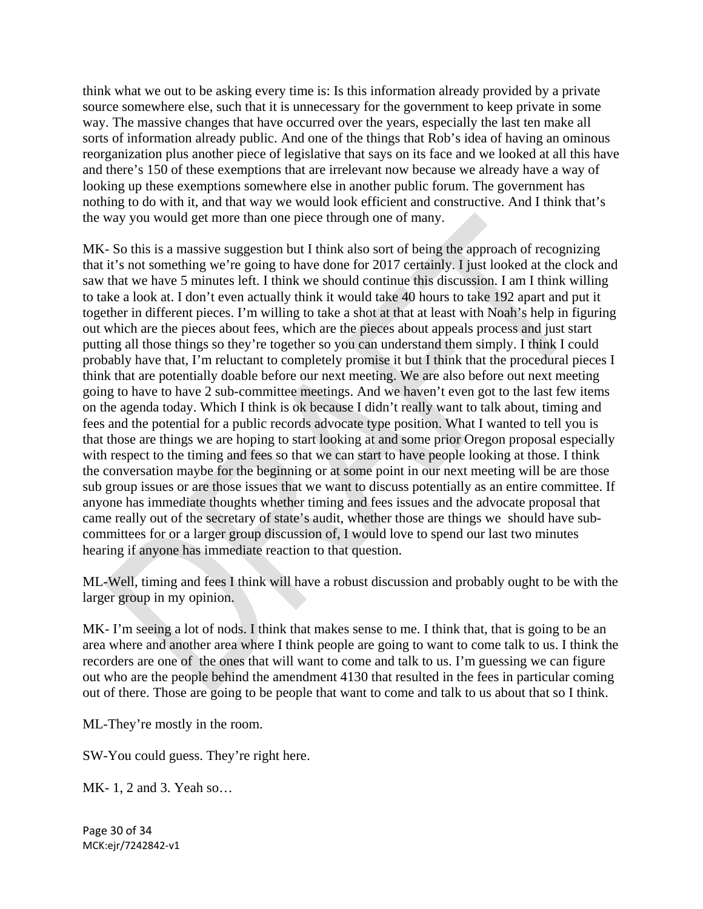think what we out to be asking every time is: Is this information already provided by a private source somewhere else, such that it is unnecessary for the government to keep private in some way. The massive changes that have occurred over the years, especially the last ten make all sorts of information already public. And one of the things that Rob's idea of having an ominous reorganization plus another piece of legislative that says on its face and we looked at all this have and there's 150 of these exemptions that are irrelevant now because we already have a way of looking up these exemptions somewhere else in another public forum. The government has nothing to do with it, and that way we would look efficient and constructive. And I think that's the way you would get more than one piece through one of many.

MK- So this is a massive suggestion but I think also sort of being the approach of recognizing that it's not something we're going to have done for 2017 certainly. I just looked at the clock and saw that we have 5 minutes left. I think we should continue this discussion. I am I think willing to take a look at. I don't even actually think it would take 40 hours to take 192 apart and put it together in different pieces. I'm willing to take a shot at that at least with Noah's help in figuring out which are the pieces about fees, which are the pieces about appeals process and just start putting all those things so they're together so you can understand them simply. I think I could probably have that, I'm reluctant to completely promise it but I think that the procedural pieces I think that are potentially doable before our next meeting. We are also before out next meeting going to have to have 2 sub-committee meetings. And we haven't even got to the last few items on the agenda today. Which I think is ok because I didn't really want to talk about, timing and fees and the potential for a public records advocate type position. What I wanted to tell you is that those are things we are hoping to start looking at and some prior Oregon proposal especially with respect to the timing and fees so that we can start to have people looking at those. I think the conversation maybe for the beginning or at some point in our next meeting will be are those sub group issues or are those issues that we want to discuss potentially as an entire committee. If anyone has immediate thoughts whether timing and fees issues and the advocate proposal that came really out of the secretary of state's audit, whether those are things we should have subcommittees for or a larger group discussion of, I would love to spend our last two minutes hearing if anyone has immediate reaction to that question.

ML-Well, timing and fees I think will have a robust discussion and probably ought to be with the larger group in my opinion.

MK- I'm seeing a lot of nods. I think that makes sense to me. I think that, that is going to be an area where and another area where I think people are going to want to come talk to us. I think the recorders are one of the ones that will want to come and talk to us. I'm guessing we can figure out who are the people behind the amendment 4130 that resulted in the fees in particular coming out of there. Those are going to be people that want to come and talk to us about that so I think.

ML-They're mostly in the room.

SW-You could guess. They're right here.

MK- 1, 2 and 3. Yeah so…

Page 30 of 34 MCK:ejr/7242842‐v1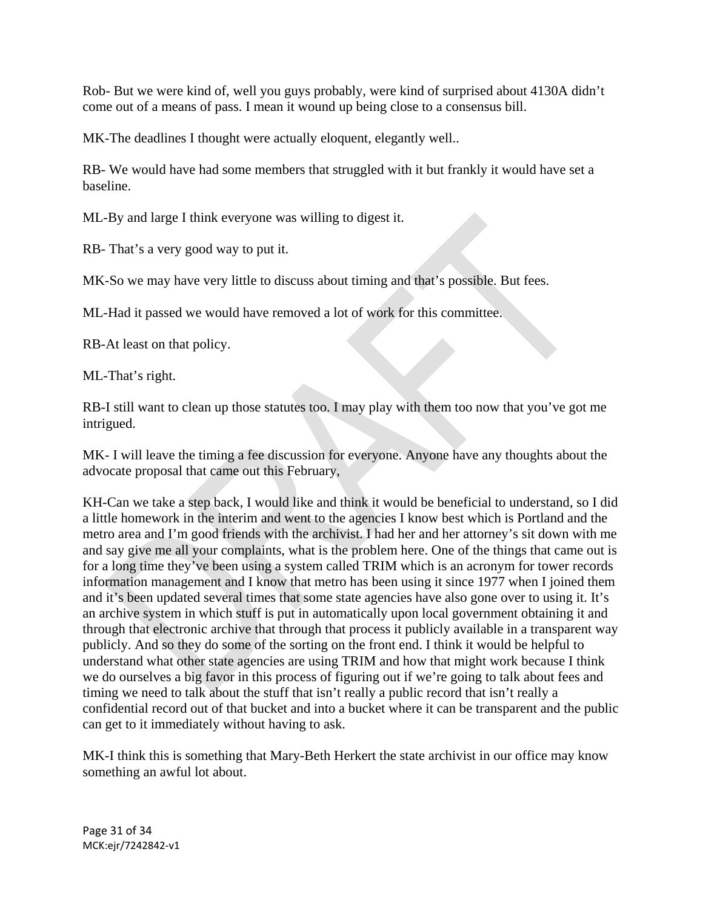Rob- But we were kind of, well you guys probably, were kind of surprised about 4130A didn't come out of a means of pass. I mean it wound up being close to a consensus bill.

MK-The deadlines I thought were actually eloquent, elegantly well..

RB- We would have had some members that struggled with it but frankly it would have set a baseline.

ML-By and large I think everyone was willing to digest it.

RB- That's a very good way to put it.

MK-So we may have very little to discuss about timing and that's possible. But fees.

ML-Had it passed we would have removed a lot of work for this committee.

RB-At least on that policy.

ML-That's right.

RB-I still want to clean up those statutes too. I may play with them too now that you've got me intrigued.

MK- I will leave the timing a fee discussion for everyone. Anyone have any thoughts about the advocate proposal that came out this February,

KH-Can we take a step back, I would like and think it would be beneficial to understand, so I did a little homework in the interim and went to the agencies I know best which is Portland and the metro area and I'm good friends with the archivist. I had her and her attorney's sit down with me and say give me all your complaints, what is the problem here. One of the things that came out is for a long time they've been using a system called TRIM which is an acronym for tower records information management and I know that metro has been using it since 1977 when I joined them and it's been updated several times that some state agencies have also gone over to using it. It's an archive system in which stuff is put in automatically upon local government obtaining it and through that electronic archive that through that process it publicly available in a transparent way publicly. And so they do some of the sorting on the front end. I think it would be helpful to understand what other state agencies are using TRIM and how that might work because I think we do ourselves a big favor in this process of figuring out if we're going to talk about fees and timing we need to talk about the stuff that isn't really a public record that isn't really a confidential record out of that bucket and into a bucket where it can be transparent and the public can get to it immediately without having to ask.

MK-I think this is something that Mary-Beth Herkert the state archivist in our office may know something an awful lot about.

Page 31 of 34 MCK:ejr/7242842‐v1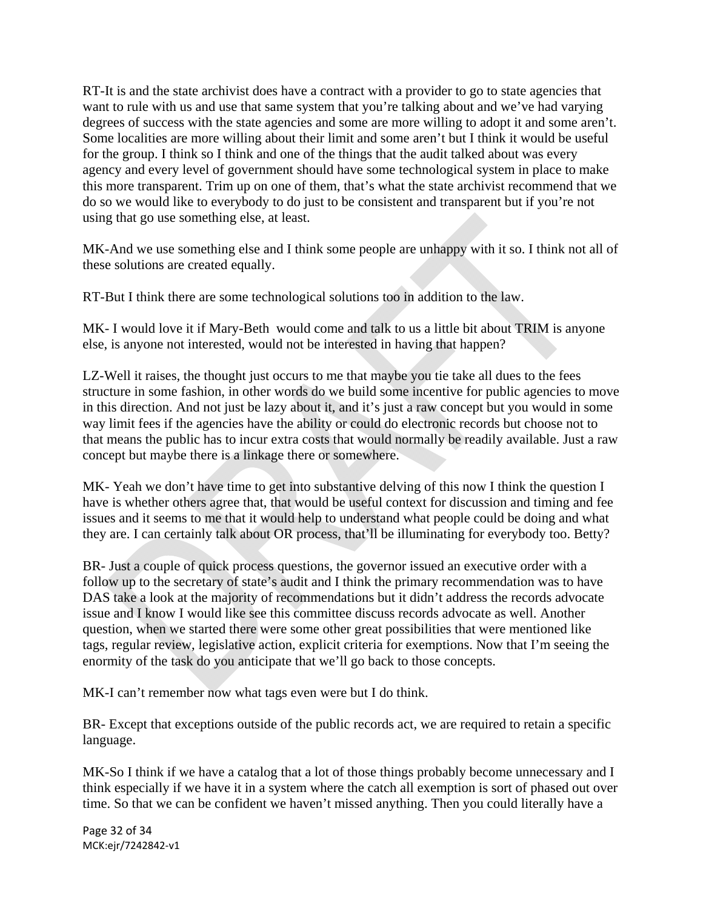RT-It is and the state archivist does have a contract with a provider to go to state agencies that want to rule with us and use that same system that you're talking about and we've had varying degrees of success with the state agencies and some are more willing to adopt it and some aren't. Some localities are more willing about their limit and some aren't but I think it would be useful for the group. I think so I think and one of the things that the audit talked about was every agency and every level of government should have some technological system in place to make this more transparent. Trim up on one of them, that's what the state archivist recommend that we do so we would like to everybody to do just to be consistent and transparent but if you're not using that go use something else, at least.

MK-And we use something else and I think some people are unhappy with it so. I think not all of these solutions are created equally.

RT-But I think there are some technological solutions too in addition to the law.

MK- I would love it if Mary-Beth would come and talk to us a little bit about TRIM is anyone else, is anyone not interested, would not be interested in having that happen?

LZ-Well it raises, the thought just occurs to me that maybe you tie take all dues to the fees structure in some fashion, in other words do we build some incentive for public agencies to move in this direction. And not just be lazy about it, and it's just a raw concept but you would in some way limit fees if the agencies have the ability or could do electronic records but choose not to that means the public has to incur extra costs that would normally be readily available. Just a raw concept but maybe there is a linkage there or somewhere.

MK- Yeah we don't have time to get into substantive delving of this now I think the question I have is whether others agree that, that would be useful context for discussion and timing and fee issues and it seems to me that it would help to understand what people could be doing and what they are. I can certainly talk about OR process, that'll be illuminating for everybody too. Betty?

BR- Just a couple of quick process questions, the governor issued an executive order with a follow up to the secretary of state's audit and I think the primary recommendation was to have DAS take a look at the majority of recommendations but it didn't address the records advocate issue and I know I would like see this committee discuss records advocate as well. Another question, when we started there were some other great possibilities that were mentioned like tags, regular review, legislative action, explicit criteria for exemptions. Now that I'm seeing the enormity of the task do you anticipate that we'll go back to those concepts.

MK-I can't remember now what tags even were but I do think.

BR- Except that exceptions outside of the public records act, we are required to retain a specific language.

MK-So I think if we have a catalog that a lot of those things probably become unnecessary and I think especially if we have it in a system where the catch all exemption is sort of phased out over time. So that we can be confident we haven't missed anything. Then you could literally have a

Page 32 of 34 MCK:ejr/7242842‐v1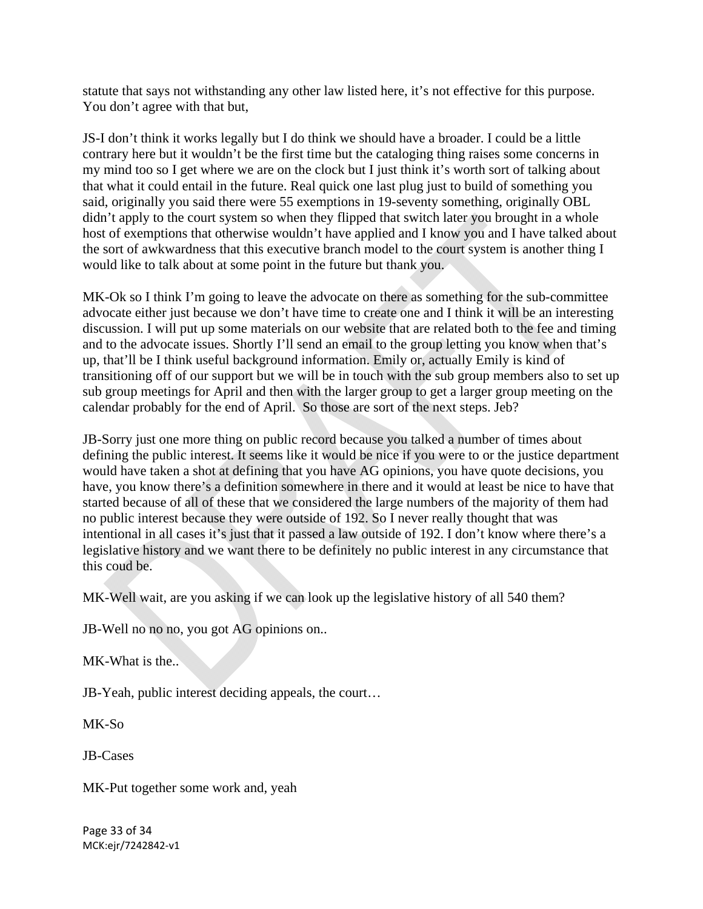statute that says not withstanding any other law listed here, it's not effective for this purpose. You don't agree with that but,

JS-I don't think it works legally but I do think we should have a broader. I could be a little contrary here but it wouldn't be the first time but the cataloging thing raises some concerns in my mind too so I get where we are on the clock but I just think it's worth sort of talking about that what it could entail in the future. Real quick one last plug just to build of something you said, originally you said there were 55 exemptions in 19-seventy something, originally OBL didn't apply to the court system so when they flipped that switch later you brought in a whole host of exemptions that otherwise wouldn't have applied and I know you and I have talked about the sort of awkwardness that this executive branch model to the court system is another thing I would like to talk about at some point in the future but thank you.

MK-Ok so I think I'm going to leave the advocate on there as something for the sub-committee advocate either just because we don't have time to create one and I think it will be an interesting discussion. I will put up some materials on our website that are related both to the fee and timing and to the advocate issues. Shortly I'll send an email to the group letting you know when that's up, that'll be I think useful background information. Emily or, actually Emily is kind of transitioning off of our support but we will be in touch with the sub group members also to set up sub group meetings for April and then with the larger group to get a larger group meeting on the calendar probably for the end of April. So those are sort of the next steps. Jeb?

JB-Sorry just one more thing on public record because you talked a number of times about defining the public interest. It seems like it would be nice if you were to or the justice department would have taken a shot at defining that you have AG opinions, you have quote decisions, you have, you know there's a definition somewhere in there and it would at least be nice to have that started because of all of these that we considered the large numbers of the majority of them had no public interest because they were outside of 192. So I never really thought that was intentional in all cases it's just that it passed a law outside of 192. I don't know where there's a legislative history and we want there to be definitely no public interest in any circumstance that this coud be.

MK-Well wait, are you asking if we can look up the legislative history of all 540 them?

JB-Well no no no, you got AG opinions on..

MK-What is the..

JB-Yeah, public interest deciding appeals, the court…

MK-So

JB-Cases

MK-Put together some work and, yeah

Page 33 of 34 MCK:ejr/7242842‐v1